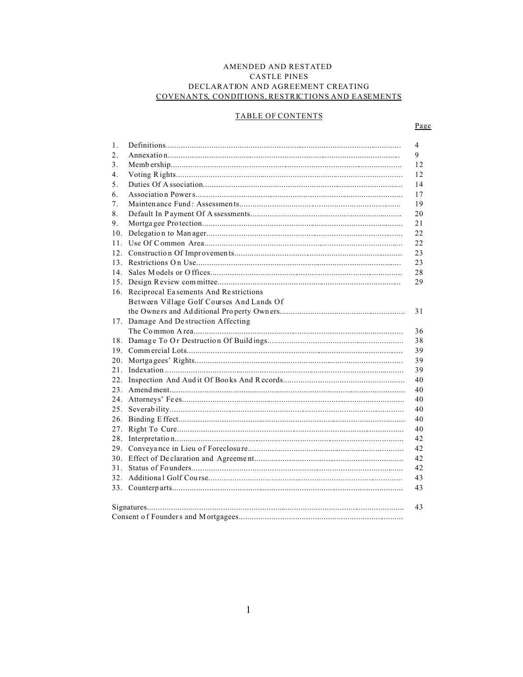# AMENDED AND RESTATED **CASTLE PINES** DECLARATION AND AGREEMENT CREATING COVENANTS, CONDITIONS, RESTRICTIONS AND EASEMENTS

# **TABLE OF CONTENTS**

Page

| 1.              |                                           | 4  |
|-----------------|-------------------------------------------|----|
| 2.              |                                           | 9  |
| 3.              |                                           | 12 |
| 4.              |                                           | 12 |
| 5.              |                                           | 14 |
| 6.              |                                           | 17 |
| 7.              |                                           | 19 |
| 8.              |                                           | 20 |
| 9.              |                                           | 21 |
| 10.             |                                           | 22 |
| 11.             |                                           | 22 |
|                 |                                           | 23 |
|                 |                                           | 23 |
| 14.             |                                           | 28 |
|                 |                                           | 29 |
|                 | 16. Reciprocal Easements And Restrictions |    |
|                 | Between Village Golf Courses And Lands Of |    |
|                 |                                           | 31 |
| 17.             | Damage And Destruction Affecting          |    |
|                 |                                           | 36 |
|                 |                                           | 38 |
|                 |                                           | 39 |
| 20.             |                                           | 39 |
| 2.1             |                                           | 39 |
| 22.             |                                           | 40 |
| 23.             |                                           | 40 |
|                 |                                           | 40 |
|                 |                                           | 40 |
| 26.             |                                           | 40 |
| 27.             |                                           | 40 |
| 28.             |                                           | 42 |
| 29.             |                                           | 42 |
|                 |                                           | 42 |
| 31.             |                                           | 42 |
| 32 <sub>1</sub> |                                           | 43 |
|                 |                                           | 43 |
|                 |                                           | 43 |
|                 |                                           |    |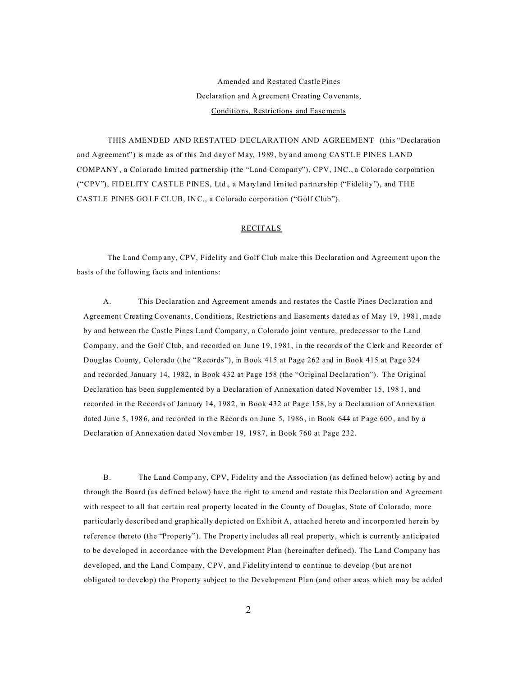Amended and Restated Castle Pines Declaration and A greement Creating Co venants, Conditio ns, Restrictions and Easements

THIS AMENDED AND RESTATED DECLARATION AND AGREEMENT (this "Declaration and Agreement") is made as of this 2nd day of May, 1989, by and among CASTLE PINES LAND COMPANY , a Colorado limited partnership (the "Land Company"), CPV, INC., a Colorado corporation ("CPV"), FIDELITY CASTLE PINES, Ltd., a Maryland limited partnership ("Fidelity"), and THE CASTLE PINES GO LF CLUB, IN C., a Colorado corporation ("Golf Club").

#### RECITALS

The Land Comp any, CPV, Fidelity and Golf Club make this Declaration and Agreement upon the basis of the following facts and intentions:

A. This Declaration and Agreement amends and restates the Castle Pines Declaration and Agreement Creating Covenants, Conditions, Restrictions and Easements dated as of May 19, 1981, made by and between the Castle Pines Land Company, a Colorado joint venture, predecessor to the Land Company, and the Golf Club, and recorded on June 19, 1981, in the records of the Clerk and Recorder of Douglas County, Colorado (the "Records"), in Book 415 at Page 262 and in Book 415 at Page 324 and recorded January 14, 1982, in Book 432 at Page 158 (the "Original Declaration"). The Original Declaration has been supplemented by a Declaration of Annexation dated November 15, 198 1, and recorded in the Records of January 14, 1982, in Book 432 at Page 158, by a Declaration of Annexation dated June 5, 1986, and recorded in the Records on June 5, 1986, in Book 644 at Page 600, and by a Declaration of Annexation dated November 19, 1987, in Book 760 at Page 232.

B. The Land Comp any, CPV, Fidelity and the Association (as defined below) acting by and through the Board (as defined below) have the right to amend and restate this Declaration and Agreement with respect to all that certain real property located in the County of Douglas, State of Colorado, more particularly described and graphically depicted on Exhibit A, attached hereto and incorporated herein by reference thereto (the "Property"). The Property includes all real property, which is currently anticipated to be developed in accordance with the Development Plan (hereinafter defined). The Land Company has developed, and the Land Company, CPV, and Fidelity intend to continue to develop (but are not obligated to develop) the Property subject to the Development Plan (and other areas which may be added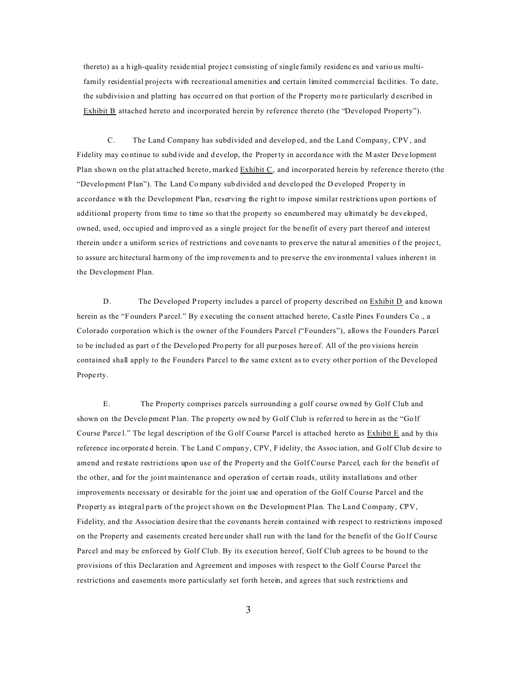thereto) as a h igh-quality reside ntial projec t consisting of single family residenc es and vario us multifamily residential projects with recreational amenities and certain limited commercial facilities. To date, the subdivisio n and platting has occurr ed on that p ortion of the P roperty mo re particularly d escribed in Exhibit B attached hereto and incorporated herein by reference thereto (the "Developed Property").

C. The Land Company has subdivided and develop ed, and the Land Company, CPV , and Fidelity may co ntinue to subd ivide and d evelop, the Property in accorda nce with the M aster Deve lopment Plan shown on the plat attached hereto, marked Exhibit C, and incorporated herein by reference thereto (the "Develo pment P lan"). The Land Co mpany sub divided a nd develo ped the D eveloped Property in accordance with the Development Plan, reserving the right to impose similar restrictions upon portions of additional property from time to time so that the property so encumbered may ultimately be developed, owned, used, occ upied and impro ved as a single project for the be nefit of every part thereof and interest therein under a uniform series of restrictions and covenants to preserve the natural amenities of the project, to assure arc hitectural harm ony of the imp rovemen ts and to pre serve the env ironmenta l values inheren t in the Development Plan.

D. The Developed P roperty includes a parcel of property described on Exhibit D and known herein as the "F ounders P arcel." By executing the consent attached hereto, Castle Pines Founders Co., a Colorado corporation which is the owner of the Founders Parcel ("Founders"), allows the Founders Parcel to be includ ed as part o f the Develo ped Pro perty for all pur poses here of. All of the pro visions herein contained shall apply to the Founders Parcel to the same extent as to every other portion of the Developed Prope rty.

E. The Property comprises parcels surrounding a golf course owned by Golf Club and shown on the Develo pment Plan. The property owned by Golf Club is referred to here in as the "Golf Course Parce l." The legal description of the G olf Course Parcel is attached hereto as Exhibit E and by this reference inc orporate d herein. T he Land C ompan y, CPV, F idelity, the Assoc iation, and G olf Club de sire to amend and restate restrictions upon use of the Property and the Golf Course Parcel, each for the benefit of the other, and for the joint maintenance and operation of certain roads, utility installations and other improvements necessary or desirable for the joint use and operation of the Golf Course Parcel and the Property as integral parts of the project shown on the Development Plan. The Land Company, CPV, Fidelity, and the Association desire that the covenants herein contained with respect to restrictions imposed on the Property and easements created here under shall run with the land for the benefit of the Go lf Course Parcel and may be enforced by Golf Club. By its execution hereof, Golf Club agrees to be bound to the provisions of this Declaration and Agreement and imposes with respect to the Golf Course Parcel the restrictions and easements more particularly set forth herein, and agrees that such restrictions and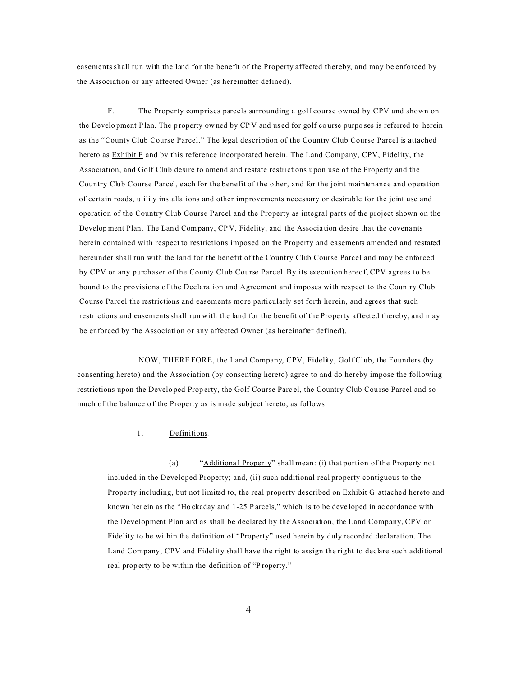easements shall run with the land for the benefit of the Property affected thereby, and may be enforced by the Association or any affected Owner (as hereinafter defined).

F. The Property comprises parcels surrounding a golf course owned by CPV and shown on the Develo pment P lan. The p roperty ow ned by CP V and us ed for golf co urse purpo ses is referred to herein as the "County Club Course Parcel." The legal description of the Country Club Course Parcel is attached hereto as Exhibit F and by this reference incorporated herein. The Land Company, CPV, Fidelity, the Association, and Golf Club desire to amend and restate restrictions upon use of the Property and the Country Club Course Parcel, each for the benefit of the other, and for the joint maintenance and operation of certain roads, utility installations and other improvements necessary or desirable for the joint use and operation of the Country Club Course Parcel and the Property as integral parts of the project shown on the Development Plan. The Land Company, CP V, Fidelity, and the Association desire that the covenants herein contained with respect to restrictions imposed on the Property and easements amended and restated hereunder shall run with the land for the benefit of the Country Club Course Parcel and may be enforced by CPV or any purchaser of the County Club Course Parcel. By its execution hereof, CPV agrees to be bound to the provisions of the Declaration and Agreement and imposes with respect to the Country Club Course Parcel the restrictions and easements more particularly set forth herein, and agrees that such restrictions and easements shall run with the land for the benefit of the Property affected thereby, and may be enforced by the Association or any affected Owner (as hereinafter defined).

NOW, THERE FORE, the Land Company, CPV, Fidelity, Golf Club, the Founders (by consenting hereto) and the Association (by consenting hereto) agree to and do hereby impose the following restrictions upon the Develo ped Prop erty, the Golf Course Parc el, the Country Club Cou rse Parcel and so much of the balance of the Property as is made subject hereto, as follows:

# 1. Definitions.

(a) "Additiona l Property" shall mean: (i) that portion of the Property not included in the Developed Property; and, (ii) such additional real property contiguous to the Property including, but not limited to, the real property described on **Exhibit G** attached hereto and known her ein as the "Ho ckaday and 1-25 P arcels," which is to be deve loped in ac cordance with the Development Plan and as shall be declared by the Association, the Land Company, CPV or Fidelity to be within the definition of "Property" used herein by duly recorded declaration. The Land Company, CPV and Fidelity shall have the right to assign the right to declare such additional real prop erty to be within the definition of "P roperty."

4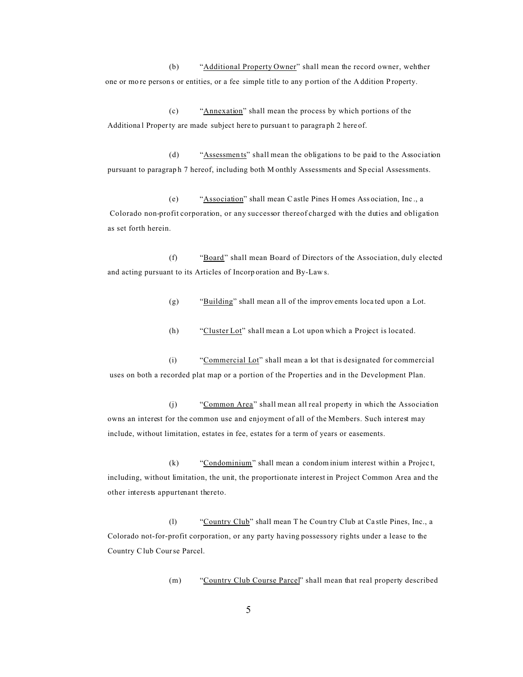(b) "Additional Property Owner" shall mean the record owner, wehther one or mo re person s or entities, or a fee simple title to any p ortion of the A ddition P roperty.

(c) "Annexation" shall mean the process by which portions of the Additiona l Property are made subject here to pursuan t to paragra ph 2 here of.

(d) "Assessmen ts" shall mean the obligations to be paid to the Association pursuant to paragraph 7 hereof, including both M onthly Assessments and Special Assessments.

(e) "Association" shall mean C astle Pines H omes Ass ociation, Inc ., a Colorado non-profit corporation, or any successor thereof charged with the duties and obligation as set forth herein.

(f) "Board" shall mean Board of Directors of the Association, duly elected and acting pursuant to its Articles of Incorp oration and By-Law s.

(g) "Building" shall mean a ll of the improv ements loca ted upon a Lot.

(h) "Cluster Lot" shall mean a Lot upon which a Project is located.

(i) "Commercial Lot" shall mean a lot that is designated for commercial uses on both a recorded plat map or a portion of the Properties and in the Development Plan.

(j) "Common Area" shall mean all real property in which the Association owns an interest for the common use and enjoyment of all of the Members. Such interest may include, without limitation, estates in fee, estates for a term of years or easements.

(k) "Condominium" shall mean a condom inium interest within a Projec t, including, without limitation, the unit, the proportionate interest in Project Common Area and the other interests appurtenant thereto.

(l) "Country Club" shall mean T he Coun try Club at Ca stle Pines, Inc., a Colorado not-for-profit corporation, or any party having possessory rights under a lease to the Country Club Course Parcel.

(m) "Country Club Course Parcel" shall mean that real property described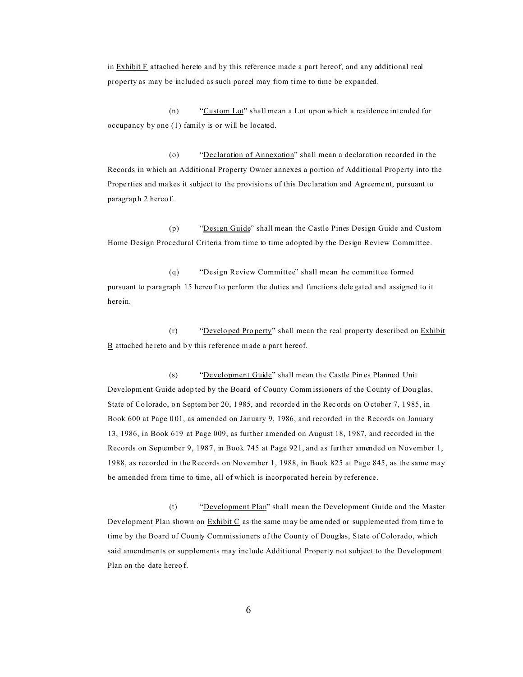in **Exhibit F** attached hereto and by this reference made a part hereof, and any additional real property as may be included as such parcel may from time to time be expanded.

(n) "Custom Lot" shall mean a Lot upon which a residence intended for occupancy by one (1) family is or will be located.

(o) "Declaration of Annexation" shall mean a declaration recorded in the Records in which an Additional Property Owner annexes a portion of Additional Property into the Prope rties and ma kes it subject to the provisio ns of this Dec laration and Agreeme nt, pursuant to paragrap h 2 hereo f.

(p) "Design Guide" shall mean the Castle Pines Design Guide and Custom Home Design Procedural Criteria from time to time adopted by the Design Review Committee.

(q) "Design Review Committee" shall mean the committee formed pursuant to p aragraph 15 hereo f to perform the duties and functions dele gated and assigned to it herein.

(r) "Develo ped Pro perty" shall mean the real property described on Exhibit  $\underline{B}$  attached he reto and by this reference made a part hereof.

(s) "Development Guide" shall mean the Castle Pines Planned Unit Development Guide adop ted by the Board of County Comm issioners of the County of Dou glas, State of Co lorado, on September 20, 1985, and recorded in the Rec ords on O ctober 7, 1985, in Book 600 at Page 0 01, as amended on January 9, 1986, and recorded in the Records on January 13, 1986, in Book 619 at Page 009, as further amended on August 18, 1987, and recorded in the Records on September 9, 1987, in Book 745 at Page 921, and as further amended on November 1, 1988, as recorded in the Records on November 1, 1988, in Book 825 at Page 845, as the same may be amended from time to time, all of which is incorporated herein by reference.

(t) "Development Plan" shall mean the Development Guide and the Master Development Plan shown on  $\frac{Exhibit C}{dx}$  as the same may be amended or supplemented from time to time by the Board of County Commissioners of the County of Douglas, State of Colorado, which said amendments or supplements may include Additional Property not subject to the Development Plan on the date hereo f.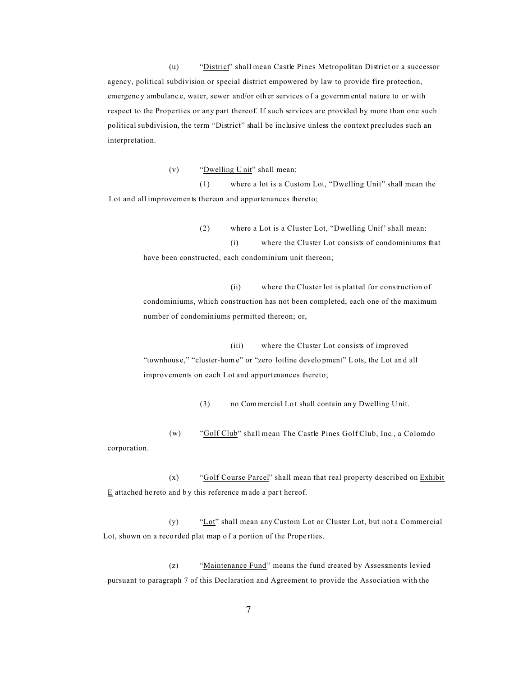(u) "District" shall mean Castle Pines Metropolitan District or a successor agency, political subdivision or special district empowered by law to provide fire protection, emergenc y ambulanc e, water, sewer and/or oth er services o f a governmental nature to or with respect to the Properties or any part thereof. If such services are provided by more than one such political subdivision, the term "District" shall be inclusive unless the context precludes such an interpretation.

(v) "Dwelling U nit" shall mean:

(1) where a lot is a Custom Lot, "Dwelling Unit" shall mean the Lot and all improvements thereon and appurtenances thereto;

> (2) where a Lot is a Cluster Lot, "Dwelling Unit" shall mean: (i) where the Cluster Lot consists of condominiums that have been constructed, each condominium unit thereon;

(ii) where the Cluster lot is platted for construction of condominiums, which construction has not been completed, each one of the maximum number of condominiums permitted thereon; or,

(iii) where the Cluster Lot consists of improved "townhous e," "cluster-hom e" or "zero lotline develo pment" Lots, the Lot an d all improvements on each Lot and appurtenances thereto;

(3) no Com mercial Lo t shall contain an y Dwelling U nit.

(w) "Golf Club" shall mean The Castle Pines Golf Club, Inc., a Colorado corporation.

(x) "Golf Course Parcel" shall mean that real property described on Exhibit  $E$  attached he reto and by this reference made a part hereof.

(y) "Lot" shall mean any Custom Lot or Cluster Lot, but not a Commercial Lot, shown on a recorded plat map of a portion of the Properties.

(z) "Maintenance Fund" means the fund created by Assessments levied pursuant to paragraph 7 of this Declaration and Agreement to provide the Association with the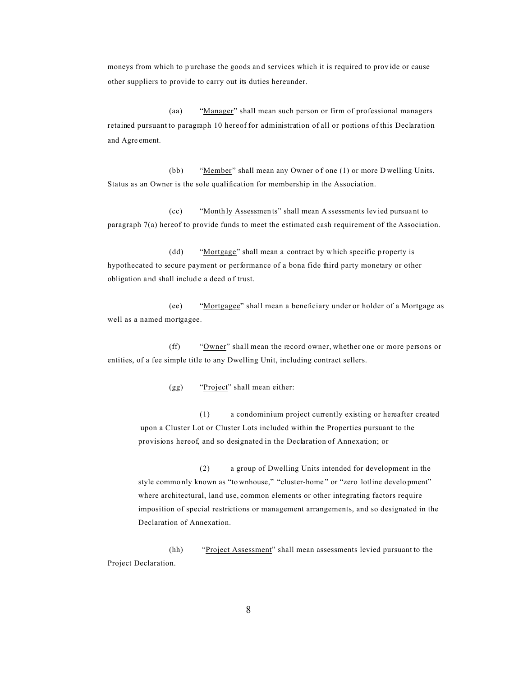moneys from which to purchase the goods and services which it is required to provide or cause other suppliers to provide to carry out its duties hereunder.

(aa) "Manager" shall mean such person or firm of professional managers retained pursuant to paragraph 10 hereof for administration of all or portions of this Declaration and Agre ement.

(bb) "Member" shall mean any Owner of one (1) or more D welling Units. Status as an Owner is the sole qualification for membership in the Association.

(cc) "Month ly Assessmen ts" shall mean A ssessments lev ied pursua nt to paragraph 7(a) hereof to provide funds to meet the estimated cash requirement of the Association.

(dd) "Mortgage" shall mean a contract by which specific property is hypothecated to secure payment or performance of a bona fide third party monetary or other obligation a nd shall includ e a deed o f trust.

(ee) "Mortgagee" shall mean a beneficiary under or holder of a Mortgage as well as a named mortgagee.

(ff) "Owner" shall mean the record owner, whether one or more persons or entities, of a fee simple title to any Dwelling Unit, including contract sellers.

(gg) "Project" shall mean either:

(1) a condominium project currently existing or hereafter created upon a Cluster Lot or Cluster Lots included within the Properties pursuant to the provisions hereof, and so designated in the Declaration of Annexation; or

(2) a group of Dwelling Units intended for development in the style commo nly known as "to wnhouse," "cluster-home " or "zero lotline develo pment" where architectural, land use, common elements or other integrating factors require imposition of special restrictions or management arrangements, and so designated in the Declaration of Annexation.

(hh) "Project Assessment" shall mean assessments levied pursuant to the Project Declaration.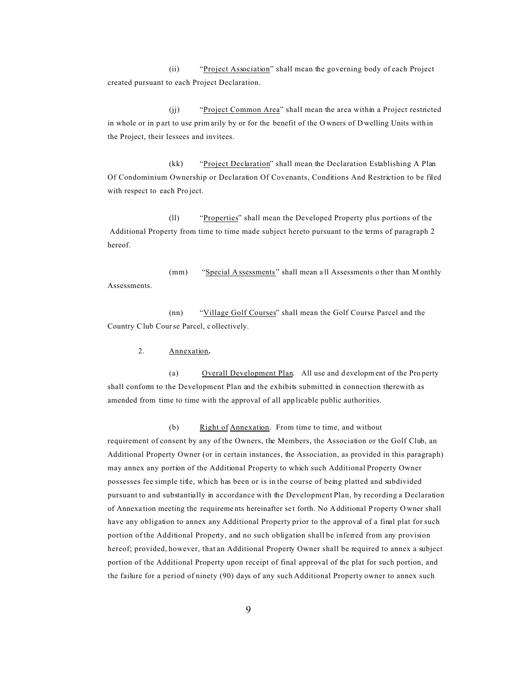(ii) "Project Association" shall mean the governing body of each Project created pursuant to each Project Declaration.

(jj) "Project Common Area" shall mean the area within a Project restricted in whole or in p art to use primarily by or for the benefit of the O wners of D welling Units with in the Project, their lessees and invitees.

(kk) "Project Declaration" shall mean the Declaration Establishing A Plan Of Condominium Ownership or Declaration Of Covenants, Conditions And Restriction to be filed with respect to each Pro ject.

(ll) "Properties" shall mean the Developed Property plus portions of the Additional Property from time to time made subject hereto pursuant to the terms of paragraph 2 hereof.

(mm) "Special A ssessments" shall mean all Assessments o ther than M onthly Assessments.

(nn) "Village Golf Courses" shall mean the Golf Course Parcel and the Country Club Course Parcel, c ollectively.

# 2. Annexation**.**

(a) Overall Development Plan. All use and d evelopment of the Pro perty shall conform to the Development Plan and the exhibits submitted in connection therewith as amended from time to time with the approval of all app licable public authorities.

(b) Right of Annexation. From time to time, and without requirement of consent by any of the Owners, the Members, the Association or the Golf Club, an Additional Property Owner (or in certain instances, the Association, as provided in this paragraph) may annex any portion of the Additional Property to which such Additional Property Owner possesses fee simple title, which has been or is in the course of being platted and subdivided pursuant to and substantially in accordance with the Development Plan, by recording a Declaration of Annexa tion meeting the requireme nts hereinafter se t forth. No A dditional P roperty O wner shall have any obligation to annex any Additional Property prior to the approval of a final plat for such portion of the Additional Property, and no such obligation shall be inferred from any provision hereof; provided, however, that an Additional Property Owner shall be required to annex a subject portion of the Additional Property upon receipt of final approval of the plat for such portion, and the failure for a period of ninety (90) days of any such Additional Property owner to annex such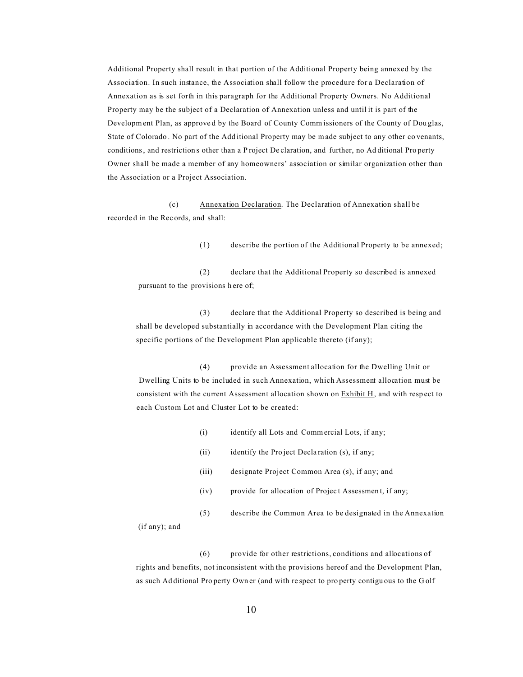Additional Property shall result in that portion of the Additional Property being annexed by the Association. In such instance, the Association shall follow the procedure for a Declaration of Annexation as is set forth in this paragraph for the Additional Property Owners. No Additional Property may be the subject of a Declaration of Annexation unless and until it is part of the Development Plan, as approve d by the Board of County Comm issioners of the County of Dou glas, State of Colorado . No part of the Add itional Property may be m ade subject to any other co venants, conditions, and restriction s other than a P roject De claration, and further, no Ad ditional Pro perty Owner shall be made a member of any homeowners' association or similar organization other than the Association or a Project Association.

(c) Annexation Declaration. The Declaration of Annexation shall be recorde d in the Rec ords, and shall:

(1) describe the portion of the Additional Property to be annexed;

(2) declare that the Additional Property so described is annexed pursuant to the provisions h ere of;

(3) declare that the Additional Property so described is being and shall be developed substantially in accordance with the Development Plan citing the specific portions of the Development Plan applicable thereto (if any);

(4) provide an Assessment allocation for the Dwelling Unit or Dwelling Units to be included in such Annexation, which Assessment allocation must be consistent with the current Assessment allocation shown on Exhibit H, and with resp ect to each Custom Lot and Cluster Lot to be created:

- (i) identify all Lots and Commercial Lots, if any;
- (ii) identify the Pro ject Decla ration (s), if any;
- (iii) designate Project Common Area (s), if any; and
- (iv) provide for allocation of Projec t Assessmen t, if any;
- (5) describe the Common Area to be designated in the Annexation

(if any); and

(6) provide for other restrictions, conditions and allocations of rights and benefits, not inconsistent with the provisions hereof and the Development Plan, as such Ad ditional Pro perty Own er (and with re spect to pro perty contigu ous to the G olf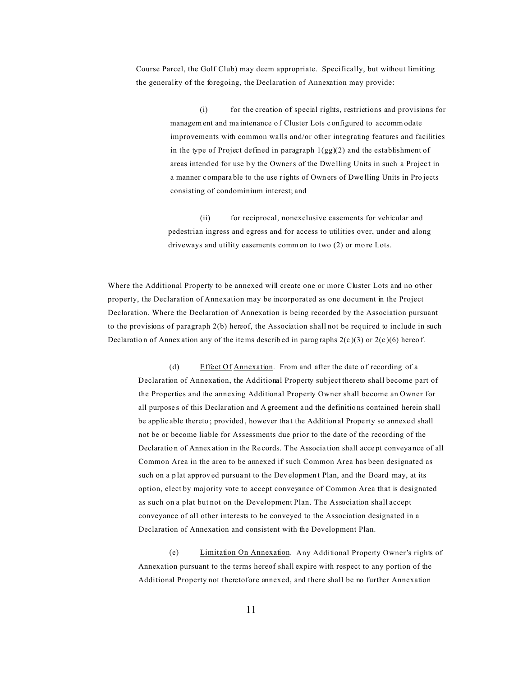Course Parcel, the Golf Club) may deem appropriate. Specifically, but without limiting the generality of the foregoing, the Declaration of Annexation may provide:

> (i) for the creation of special rights, restrictions and provisions for managem ent and ma intenance o f Cluster Lots c onfigured to accomm odate improvements with common walls and/or other integrating features and facilities in the type of Project defined in paragraph  $1(gg)(2)$  and the establishment of areas intended for use by the Owners of the Dwelling Units in such a Project in a manner c ompara ble to the use rights of Own ers of Dwe lling Units in Pro jects consisting of condominium interest; and

(ii) for reciprocal, nonexclusive easements for vehicular and pedestrian ingress and egress and for access to utilities over, under and along driveways and utility easements comm on to two (2) or mo re Lots.

Where the Additional Property to be annexed will create one or more Cluster Lots and no other property, the Declaration of Annexation may be incorporated as one document in the Project Declaration. Where the Declaration of Annexation is being recorded by the Association pursuant to the provisions of paragraph 2(b) hereof, the Association shall not be required to include in such Declaration of Annex ation any of the items described in paragraphs  $2(c)(3)$  or  $2(c)(6)$  hereof.

(d) Effect Of Annexation. From and after the date of recording of a Declaration of Annexation, the Additional Property subject thereto shall become part of the Properties and the annexing Additional Property Owner shall become an Owner for all purpose s of this Declar ation and A greement a nd the definitio ns contained herein shall be applic able thereto ; provided , however tha t the Addition al Prope rty so annexe d shall not be or become liable for Assessments due prior to the date of the recording of the Declaratio n of Annex ation in the Re cords. T he Associa tion shall acce pt conveya nce of all Common Area in the area to be annexed if such Common Area has been designated as such on a plat approved pursuant to the Dev elopment Plan, and the Board may, at its option, elect by majority vote to accept conveyance of Common Area that is designated as such on a plat but not on the Development Plan. The Association shall accept conveyance of all other interests to be conveyed to the Association designated in a Declaration of Annexation and consistent with the Development Plan.

(e) Limitation On Annexation. Any Additional Property Owner's rights of Annexation pursuant to the terms hereof shall expire with respect to any portion of the Additional Property not theretofore annexed, and there shall be no further Annexation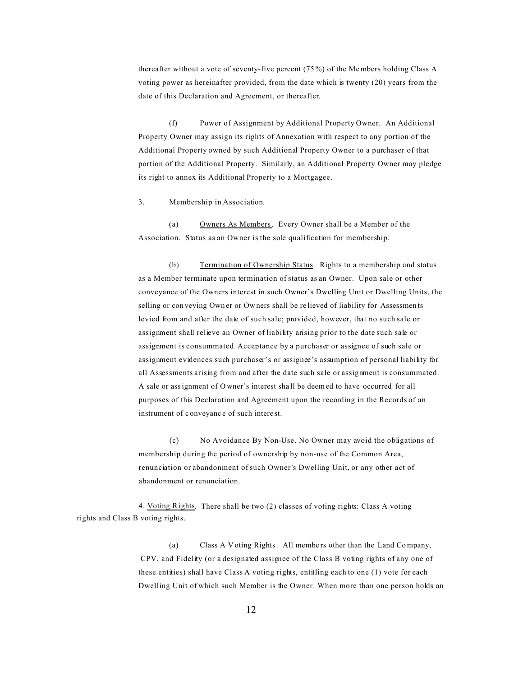thereafter without a vote of seventy-five percent (75 %) of the Me mbers holding Class A voting power as hereinafter provided, from the date which is twenty (20) years from the date of this Declaration and Agreement, or thereafter.

(f) Power of Assignment by Additional Property Owner. An Additional Property Owner may assign its rights of Annexation with respect to any portion of the Additional Property owned by such Additional Property Owner to a purchaser of that portion of the Additional Property. Similarly, an Additional Property Owner may pledge its right to annex its Additional Property to a Mortgagee.

## 3. Membership in Association.

(a) Owners As Members. Every Owner shall be a Member of the Association. Status as an Owner is the sole qualification for membership.

(b) Termination of Ownership Status. Rights to a membership and status as a Member terminate upon termination of status as an Owner. Upon sale or other conveyance of the Owners interest in such Owner's Dwelling Unit or Dwelling Units, the selling or con veying Own er or Ow ners shall be re lieved of liability for Assessmen ts levied from and after the date of such sale; provided, however, that no such sale or assignment shall relieve an Owner of liability arising prior to the date such sale or assignment is consummated. Acceptance by a purchaser or assignee of such sale or assignment evidences such purchaser's or assignee's assumption of personal liability for all Assessments arising from and after the date such sale or assignment is consummated. A sale or assignment of O wner's interest sha ll be deemed to have occurred for all purposes of this Declaration and Agreement upon the recording in the Records of an instrument of c onveyanc e of such intere st.

(c) No Avoidance By Non-Use. No Owner may avoid the obligations of membership during the period of ownership by non-use of the Common Area, renunciation or abandonment of such Owner's Dwelling Unit, or any other act of abandonment or renunciation.

4. Voting Rights.There shall be two (2) classes of voting rights: Class A voting rights and Class B voting rights.

> (a) Class A V oting Rights. All membe rs other than the Land Co mpany, CPV, and Fidelity (or a designated assignee of the Class B voting rights of any one of these entities) shall have Class A voting rights, entitling each to one (1) vote for each Dwelling Unit of which such Member is the Owner. When more than one person holds an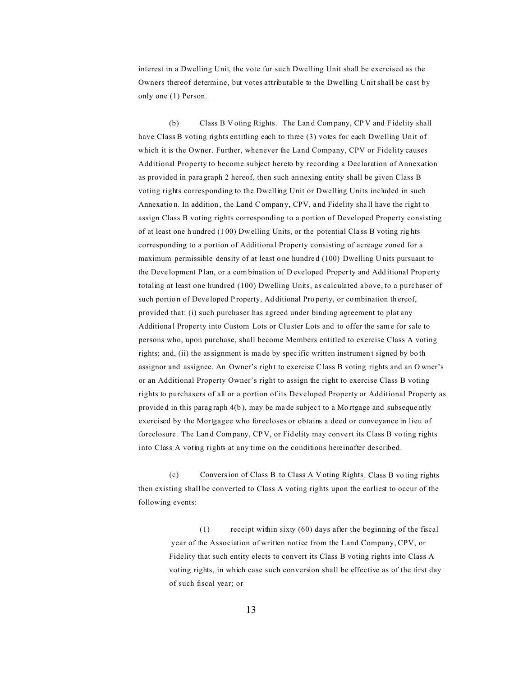interest in a Dwelling Unit, the vote for such Dwelling Unit shall be exercised as the Owners thereof determine, but votes attributable to the Dwelling Unit shall be cast by only one (1) Person.

(b) Class B V oting Rights. The Lan d Company, CP V and F idelity shall have Class B voting rights entitling each to three (3) votes for each Dwelling Unit of which it is the Owner. Further, whenever the Land Company, CPV or Fidelity causes Additional Property to become subject hereto by recording a Declaration of Annexation as provided in para graph 2 hereof, then such an nexing entity shall be given Class B voting rights corresponding to the Dwelling Unit or Dwelling Units included in such Annexation. In addition, the Land Company, CPV, and Fidelity shall have the right to assign Class B voting rights corresponding to a portion of Developed Property consisting of at least one h undred (1 00) Dw elling Units, or the potential Cla ss B voting rig hts corresponding to a portion of Additional Property consisting of acreage zoned for a maximum permissible density of at least o ne hundre d (100) Dwelling U nits pursuant to the Deve lopment P lan, or a com bination of D eveloped Property and Add itional Prop erty totaling at least one hundred (100) Dwelling Units, as calculated above, to a purchaser of such portio n of Deve loped P roperty, Ad ditional Pro perty, or combination th ereof, provided that: (i) such purchaser has agreed under binding agreement to plat any Additiona l Property into Custom Lots or Clu ster Lots and to offer the same for sale to persons who, upon purchase, shall become Members entitled to exercise Class A voting rights; and, (ii) the assignment is ma de by spec ific written instrumen t signed by bo th assignor and assignee. An Owner's right to exercise Class B voting rights and an Owner's or an Additional Property Owner's right to assign the right to exercise Class B voting rights to purchasers of all or a portion of its Developed Property or Additional Property as provide d in this parag raph 4(b ), may be ma de subjec t to a Mo rtgage and subseque ntly exercised by the Mortgagee who forecloses or obtains a deed or conveyance in lieu of foreclosure. The Land Company, CP V, or Fidelity may convert its Class B vo ting rights into Class A voting rights at any time on the conditions hereinafter described.

(c) Conversion of Class B to Class A V oting Rights. Class B vo ting rights then existing shall be converted to Class A voting rights upon the earliest to occur of the following events:

> (1) receipt within sixty (60) days after the beginning of the fiscal year of the Association of written notice from the Land Company, CPV, or Fidelity that such entity elects to convert its Class B voting rights into Class A voting rights, in which case such conversion shall be effective as of the first day of such fiscal year; or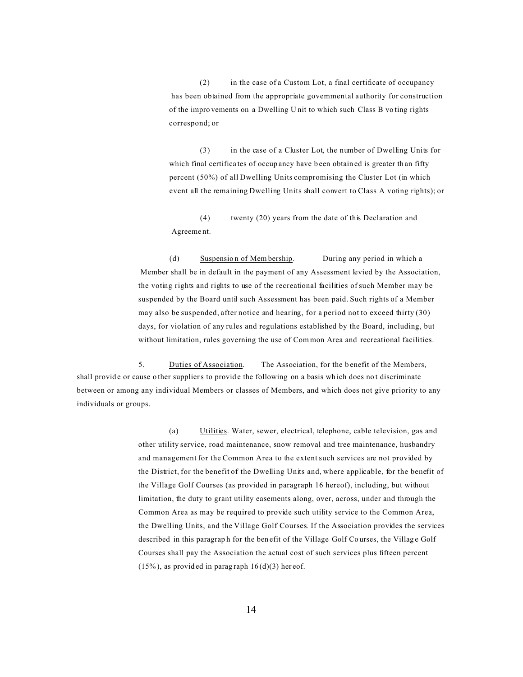(2) in the case of a Custom Lot, a final certificate of occupancy has been obtained from the appropriate governmental authority for construction of the impro vements on a Dwelling U nit to which such Class B vo ting rights correspond; or

(3) in the case of a Cluster Lot, the number of Dwelling Units for which final certifica tes of occup ancy have b een obtain ed is greater th an fifty percent (50%) of all Dwelling Units compromising the Cluster Lot (in which event all the remaining Dwelling Units shall convert to Class A voting rights); or

(4) twenty (20) years from the date of this Declaration and Agreeme nt.

(d) Suspension of Membership. During any period in which a Member shall be in default in the payment of any Assessment levied by the Association, the voting rights and rights to use of the recreational facilities of such Member may be suspended by the Board until such Assessment has been paid. Such rights of a Member may also be suspended, after notice and hearing, for a period not to exceed thirty (30) days, for violation of any rules and regulations established by the Board, including, but without limitation, rules governing the use of Common Area and recreational facilities.

5. Duties of Association. The Association, for the b enefit of the Members, shall provide or cause o ther suppliers to provide the following on a basis which does not discriminate between or among any individual Members or classes of Members, and which does not give priority to any individuals or groups.

> (a) Utilities. Water, sewer, electrical, telephone, cable television, gas and other utility service, road maintenance, snow removal and tree maintenance, husbandry and management for the Common Area to the extent such services are not provided by the District, for the benefit of the Dwelling Units and, where applicable, for the benefit of the Village Golf Courses (as provided in paragraph 16 hereof), including, but without limitation, the duty to grant utility easements along, over, across, under and through the Common Area as may be required to provide such utility service to the Common Area, the Dwelling Units, and the Village Golf Courses. If the Association provides the services described in this paragraph for the ben efit of the Village Golf Courses, the Village Golf Courses shall pay the Association the actual cost of such services plus fifteen percent  $(15\%)$ , as provided in paragraph  $16(d)(3)$  hereof.

> > 14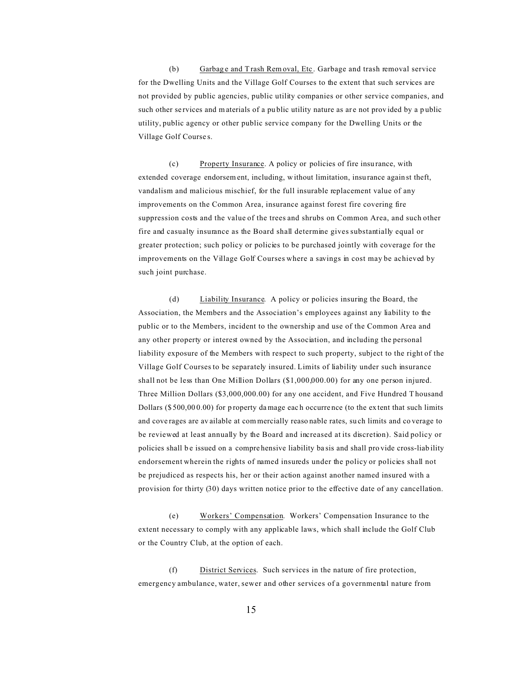(b) Garbage and Trash Removal, Etc. Garbage and trash removal service for the Dwelling Units and the Village Golf Courses to the extent that such services are not provided by public agencies, public utility companies or other service companies, and such other se rvices and m aterials of a public utility nature as are not provided by a public utility, public agency or other public service company for the Dwelling Units or the Village Golf Course s.

(c) Property Insurance. A policy or policies of fire insu rance, with extended coverage endorsem ent, including, w ithout limitation, insu rance again st theft, vandalism and malicious mischief, for the full insurable replacement value of any improvements on the Common Area, insurance against forest fire covering fire suppression costs and the value of the trees and shrubs on Common Area, and such other fire and casualty insurance as the Board shall determine gives substantially equal or greater protection; such policy or policies to be purchased jointly with coverage for the improvements on the Village Golf Courses where a savings in cost may be achieved by such joint purchase.

(d) Liability Insurance. A policy or policies insuring the Board, the Association, the Members and the Association's employees against any liability to the public or to the Members, incident to the ownership and use of the Common Area and any other property or interest owned by the Association, and including the personal liability exposure of the Members with respect to such property, subject to the right of the Village Golf Courses to be separately insured. Limits of liability under such insurance shall not be less than One Million Dollars (\$1,000,000.00) for any one person injured. Three Million Dollars (\$3,000,000.00) for any one accident, and Five Hundred T housand Dollars (\$ 500,00 0.00) for p roperty damage eac h occurre nce (to the ex tent that such limits and cove rages are av ailable at com mercially reaso nable rates, su ch limits and co verage to be reviewed at least annually by the Board and increased at its discretion). Said policy or policies shall b e issued on a compre hensive liability ba sis and shall pro vide cross-liab ility endorsement wherein the rights of named insureds under the policy or policies shall not be prejudiced as respects his, her or their action against another named insured with a provision for thirty (30) days written notice prior to the effective date of any cancellation.

(e) Workers' Compensation. Workers' Compensation Insurance to the extent necessary to comply with any applicable laws, which shall include the Golf Club or the Country Club, at the option of each.

(f) District Services. Such services in the nature of fire protection, emergency ambulance, water, sewer and other services of a governmental nature from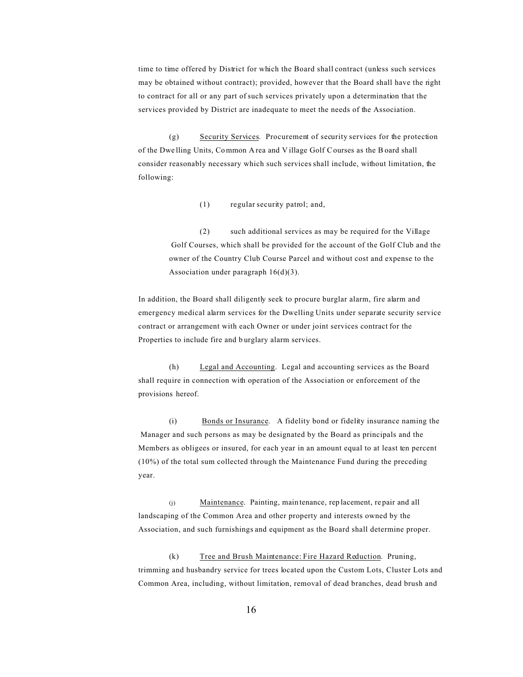time to time offered by District for which the Board shall contract (unless such services may be obtained without contract); provided, however that the Board shall have the right to contract for all or any part of such services privately upon a determination that the services provided by District are inadequate to meet the needs of the Association.

(g) Security Services. Procurement of security services for the protection of the Dwe lling Units, Common A rea and V illage Golf Courses as the B oard shall consider reasonably necessary which such services shall include, without limitation, the following:

(1) regular security patrol; and,

(2) such additional services as may be required for the Village Golf Courses, which shall be provided for the account of the Golf Club and the owner of the Country Club Course Parcel and without cost and expense to the Association under paragraph 16(d)(3).

In addition, the Board shall diligently seek to procure burglar alarm, fire alarm and emergency medical alarm services for the Dwelling Units under separate security service contract or arrangement with each Owner or under joint services contract for the Properties to include fire and b urglary alarm services.

(h) Legal and Accounting. Legal and accounting services as the Board shall require in connection with operation of the Association or enforcement of the provisions hereof.

(i) Bonds or Insurance. A fidelity bond or fidelity insurance naming the Manager and such persons as may be designated by the Board as principals and the Members as obligees or insured, for each year in an amount equal to at least ten percent (10%) of the total sum collected through the Maintenance Fund during the preceding year.

(j) Maintenance. Painting, main tenance, rep lacement, repair and all landscaping of the Common Area and other property and interests owned by the Association, and such furnishings and equipment as the Board shall determine proper.

(k) Tree and Brush Maintenance: Fire Hazard Reduction. Pruning, trimming and husbandry service for trees located upon the Custom Lots, Cluster Lots and Common Area, including, without limitation, removal of dead branches, dead brush and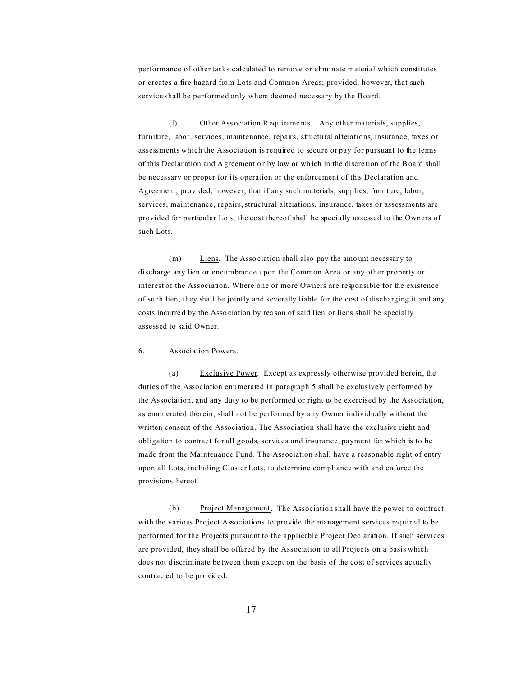performance of other tasks calculated to remove or eliminate material which constitutes or creates a fire hazard from Lots and Common Areas; provided, however, that such service shall be performed only where deemed necessary by the Board.

(l) Other Ass ociation Requireme nts. Any other materials, supplies, furniture, labor, services, maintenance, repairs, structural alterations, insurance, taxes or assessments which the Association is required to secure or pay for pursuant to the terms of this Declar ation and A greement o r by law or wh ich in the discre tion of the Board shall be necessary or proper for its operation or the enforcement of this Declaration and Agreement; provided, however, that if any such materials, supplies, furniture, labor, services, maintenance, repairs, structural alterations, insurance, taxes or assessments are provided for particular Lots, the cost thereof shall be specially assessed to the Owners of such Lots.

(m) Liens. The Asso ciation shall also pay the amount necessary to discharge any lien or encumbrance upon the Common Area or any other property or interest of the Association. Where one or more Owners are responsible for the existence of such lien, they shall be jointly and severally liable for the cost of discharging it and any costs incurre d by the Asso ciation by rea son of said lien or liens shall be specially assessed to said Owner.

# 6. Association Powers.

(a) Exclusive Power. Except as expressly otherwise provided herein, the duties of the Association enumerated in paragraph 5 shall be exclusively performed by the Association, and any duty to be performed or right to be exercised by the Association, as enumerated therein, shall not be performed by any Owner individually without the written consent of the Association. The Association shall have the exclusive right and obligation to contract for all goods, services and insurance, payment for which is to be made from the Maintenance Fund. The Association shall have a reasonable right of entry upon all Lots, including Cluster Lots, to determine compliance with and enforce the provisions hereof.

(b) Project Management. The Association shall have the power to contract with the various Project Associations to provide the management services required to be performed for the Projects pursuant to the applicable Project Declaration. If such services are provided, they shall be offered by the Association to all Projects on a basis which does not discriminate be tween them except on the basis of the cost of services actually contracted to be provided.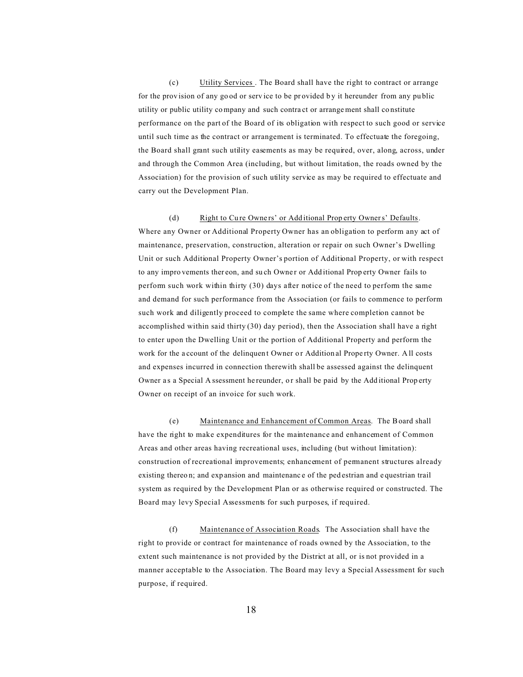(c) Utility Services . The Board shall have the right to contract or arrange for the prov ision of any go od or serv ice to be pr ovided b y it hereunder from any pu blic utility or public utility company and such contra ct or arrange ment shall co nstitute performance on the part of the Board of its obligation with respect to such good or service until such time as the contract or arrangement is terminated. To effectuate the foregoing, the Board shall grant such utility easements as may be required, over, along, across, under and through the Common Area (including, but without limitation, the roads owned by the Association) for the provision of such utility service as may be required to effectuate and carry out the Development Plan.

(d) Right to Cure Owners' or Additional Property Owners' Defaults. Where any Owner or Additional Property Owner has an obligation to perform any act of maintenance, preservation, construction, alteration or repair on such Owner's Dwelling Unit or such Additional Property Owner's portion of Additional Property, or with respect to any impro vements ther eon, and such Owner or Add itional Prop erty Owner fails to perform such work within thirty (30) days after notice of the need to perform the same and demand for such performance from the Association (or fails to commence to perform such work and diligently proceed to complete the same where completion cannot be accomplished within said thirty (30) day period), then the Association shall have a right to enter upon the Dwelling Unit or the portion of Additional Property and perform the work for the account of the delinquent Owner or Additional Property Owner. All costs and expenses incurred in connection therewith shall be assessed against the delinquent Owner a s a Special A ssessment he reunder, o r shall be paid by the Add itional Prop erty Owner on receipt of an invoice for such work.

(e) Maintenance and Enhancement of Common Areas. The Board shall have the right to make expenditures for the maintenance and enhancement of Common Areas and other areas having recreational uses, including (but without limitation): construction of recreational improvements; enhancement of permanent structures already existing thereo n; and exp ansion and maintenanc e of the ped estrian and e questrian trail system as required by the Development Plan or as otherwise required or constructed. The Board may levy Special Assessments for such purposes, if required.

(f) Maintenance of Association Roads. The Association shall have the right to provide or contract for maintenance of roads owned by the Association, to the extent such maintenance is not provided by the District at all, or is not provided in a manner acceptable to the Association. The Board may levy a Special Assessment for such purpose, if required.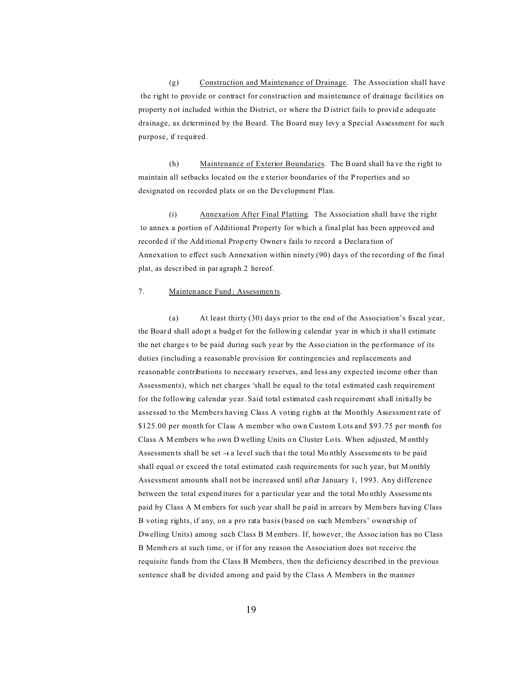(g) Construction and Maintenance of Drainage. The Association shall have the right to provide or contract for construction and maintenance of drainage facilities on property n ot included within the District, or where the District fails to provide adequate drainage, as determined by the Board. The Board may levy a Special Assessment for such purpose, if required.

(h) Maintenance of Exterior Boundaries. The Board shall ha ve the right to maintain all setbacks located on the e xterior boundaries of the P roperties and so designated on recorded plats or on the Development Plan.

(i) Annexation After Final Platting. The Association shall have the right to annex a portion of Additional Property for which a final plat has been approved and recorde d if the Add itional Prop erty Owners fails to record a Declara tion of Annexation to effect such Annexation within ninety (90) days of the recording of the final plat, as described in par agraph 2 hereof.

## 7. Mainten ance Fund : Assessmen ts.

(a) At least thirty (30) days prior to the end of the Association's fiscal year, the Boar d shall ado pt a budg et for the followin g calendar year in which it sha ll estimate the net charge s to be paid during such ye ar by the Asso ciation in the pe rformance of its duties (including a reasonable provision for contingencies and replacements and reasonable contributions to necessary reserves, and less any expected income other than Assessments), which net charges 'shall be equal to the total estimated cash requirement for the following calendar year. Said total estimated cash requirement shall initially be assessed to the Members having Class A voting rights at the Monthly Assessment rate of \$125.00 per month for Class A member who own Custom Lots and \$93.75 per month for Class A M embers who own D welling Units on Cluster Lots. When adjusted, M onthly Assessments shall be set  $\sim t$  a level such that the total Monthly Assessments to be paid shall equal or exceed the total estimated cash requirements for such year, but M onthly Assessment amounts shall not be increased until after January 1, 1993. Any difference between the total expend itures for a particular year and the total Mo nthly Assessme nts paid by Class A M embers for such year shall be p aid in arrears by Mem bers having Class B voting rights, if any, on a pro rata basis (based on such Members' ownership of Dwelling Units) among such Class B M embers. If, however, the Assoc iation has no Class B Memb ers at such time, or if for any reason the Association does not receive the requisite funds from the Class B Members, then the deficiency described in the previous sentence shall be divided among and paid by the Class A Members in the manner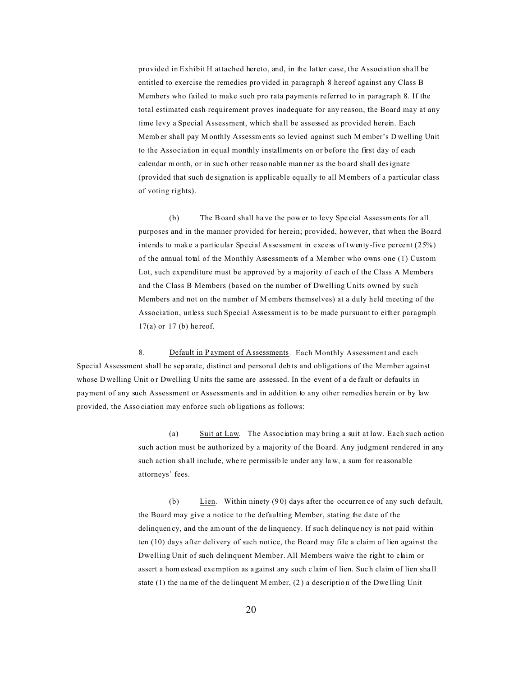provided in Exhibit H attached hereto, and, in the latter case, the Association shall be entitled to exercise the remedies pro vided in paragraph 8 hereof against any Class B Members who failed to make such pro rata payments referred to in paragraph 8. If the total estimated cash requirement proves inadequate for any reason, the Board may at any time levy a Special Assessment, which shall be assessed as provided herein. Each Memb er shall pay M onthly Assessm ents so levied against such M ember's D welling Unit to the Association in equal monthly installments on or before the first day of each calendar m onth, or in suc h other reaso nable man ner as the bo ard shall designate (provided that such de signation is applicable equally to all M embers of a particular class of voting rights).

(b) The Board shall ha ve the pow er to levy Spe cial Assessments for all purposes and in the manner provided for herein; provided, however, that when the Board intends to make a particular Special Assessment in excess of twenty-five percent (25%) of the annual total of the Monthly Assessments of a Member who owns one (1) Custom Lot, such expenditure must be approved by a majority of each of the Class A Members and the Class B Members (based on the number of Dwelling Units owned by such Members and not on the number of M embers themselves) at a duly held meeting of the Association, unless such Special Assessment is to be made pursuant to either paragraph 17(a) or 17 (b) he reof.

8. Default in P ayment of Assessments. Each Monthly Assessment and each Special Assessment shall be sep arate, distinct and personal deb ts and obligations of the Me mber against whose D welling Unit or Dwelling Units the same are assessed. In the event of a default or defaults in payment of any such Assessment or Assessments and in addition to any other remedies herein or by law provided, the Asso ciation may enforce such ob ligations as follows:

> (a) Suit at Law. The Association may bring a suit at law. Each such action such action must be authorized by a majority of the Board. Any judgment rendered in any such action sh all include, whe re permissib le under any la w, a sum for re asonable attorneys' fees.

> (b) Lien. Within ninety  $(90)$  days after the occurrence of any such default, the Board may give a notice to the defaulting Member, stating the date of the delinquen cy, and the am ount of the de linquency. If suc h delinque ncy is not paid within ten (10) days after delivery of such notice, the Board may file a claim of lien against the Dwelling Unit of such delinquent Member. All Members waive the right to claim or assert a homestead exemption as a gainst any such c laim of lien. Suc h claim of lien sha ll state (1) the name of the de linquent M ember, (2 ) a descriptio n of the Dwe lling Unit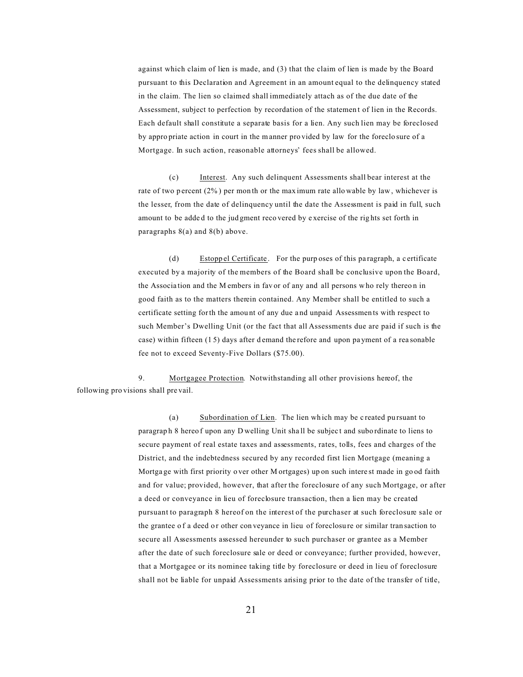against which claim of lien is made, and (3) that the claim of lien is made by the Board pursuant to this Declaration and Agreement in an amount equal to the delinquency stated in the claim. The lien so claimed shall immediately attach as of the due date of the Assessment, subject to perfection by recordation of the statemen t of lien in the Records. Each default shall constitute a separate basis for a lien. Any such lien may be foreclosed by appro priate action in court in the manner pro vided by law for the foreclo sure of a Mortgage. In such action, reasonable attorneys' fees shall be allowed.

(c) Interest. Any such delinquent Assessments shall bear interest at the rate of two p ercent (2%) per month or the maximum rate allo wable by law, whichever is the lesser, from the date of delinquency until the date the Assessment is paid in full, such amount to be adde d to the jud gment reco vered by e xercise of the rig hts set forth in paragraphs 8(a) and 8(b) above.

(d) Estoppel Certificate. For the purp oses of this paragraph, a c ertificate executed by a majority of the members of the Board shall be conclusive upon the Board, the Associa tion and the M embers in fav or of any and all persons w ho rely thereo n in good faith as to the matters therein contained. Any Member shall be entitled to such a certificate setting forth the amou nt of any due a nd unpaid Assessmen ts with respect to such Member's Dwelling Unit (or the fact that all Assessments due are paid if such is the case) within fifteen (1 5) days after d emand the refore and upon pa yment of a rea sonable fee not to exceed Seventy-Five Dollars (\$75.00).

9. Mortgagee Protection.Notwithstanding all other provisions hereof, the following pro visions shall pre vail.

> (a) Subordination of Lien. The lien wh ich may be c reated pu rsuant to paragrap h 8 hereo f upon any D welling Unit sha ll be subjec t and subo rdinate to liens to secure payment of real estate taxes and assessments, rates, tolls, fees and charges of the District, and the indebtedness secured by any recorded first lien Mortgage (meaning a Mortga ge with first priority o ver other M ortgages) up on such intere st made in go od faith and for value; provided, however, that after the foreclosure of any such Mortgage, or after a deed or conveyance in lieu of foreclosure transaction, then a lien may be created pursuant to paragraph 8 hereof on the interest of the purchaser at such foreclosure sale or the grantee of a deed or other conveyance in lieu of foreclosure or similar transaction to secure all Assessments assessed hereunder to such purchaser or grantee as a Member after the date of such foreclosure sale or deed or conveyance; further provided, however, that a Mortgagee or its nominee taking title by foreclosure or deed in lieu of foreclosure shall not be liable for unpaid Assessments arising prior to the date of the transfer of title,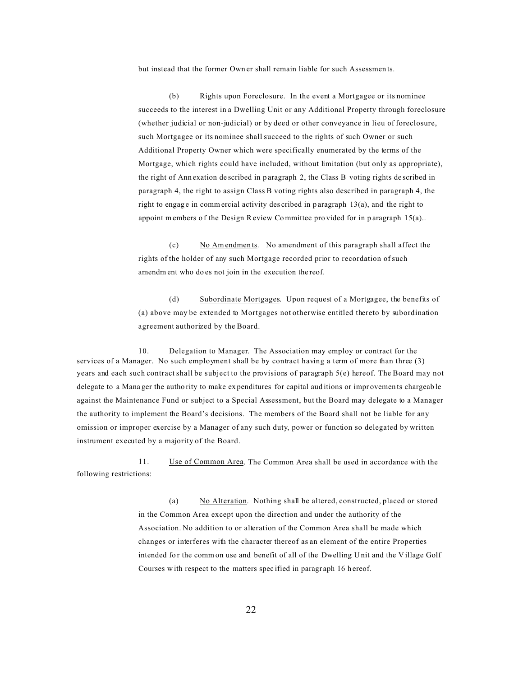but instead that the former Own er shall remain liable for such Assessmen ts.

(b) Rights upon Foreclosure. In the event a Mortgagee or its nominee succeeds to the interest in a Dwelling Unit or any Additional Property through foreclosure (whether judicial or non-judicial) or by deed or other conveyance in lieu of foreclosure, such Mortgagee or its nominee shall succeed to the rights of such Owner or such Additional Property Owner which were specifically enumerated by the terms of the Mortgage, which rights could have included, without limitation (but only as appropriate), the right of Ann exation de scribed in p aragraph 2, the Class B voting rights de scribed in paragraph 4, the right to assign Class B voting rights also described in paragraph 4, the right to engage in commercial activity described in paragraph  $13(a)$ , and the right to appoint m embers of the Design R eview Committee pro vided for in p aragraph 15(a)..

(c) No Am endmen ts. No amendment of this paragraph shall affect the rights of the holder of any such Mortgage recorded prior to recordation of such amendm ent who do es not join in the execution the reof.

(d) Subordinate Mortgages. Upon request of a Mortgagee, the benefits of (a) above may be extended to Mortgages not otherwise entitled thereto by subordination agreement authorized by the Board.

10. Delegation to Manager.The Association may employ or contract for the services of a Manager.No such employment shall be by contract having a term of more than three (3) years and each such contract shall be subject to the provisions of paragraph 5(e) hereof. The Board may not delegate to a Mana ger the autho rity to make ex penditures for capital aud itions or impr ovemen ts chargeab le against the Maintenance Fund or subject to a Special Assessment, but the Board may delegate to a Manager the authority to implement the Board's decisions. The members of the Board shall not be liable for any omission or improper exercise by a Manager of any such duty, power or function so delegated by written instrument executed by a majority of the Board.

11. Use of Common Area. The Common Area shall be used in accordance with the following restrictions:

> (a) No Alteration. Nothing shall be altered, constructed, placed or stored in the Common Area except upon the direction and under the authority of the Association. No addition to or alteration of the Common Area shall be made which changes or interferes with the character thereof as an element of the entire Properties intended for the common use and benefit of all of the Dwelling Unit and the Village Golf Courses with respect to the matters specified in paragraph 16 hereof.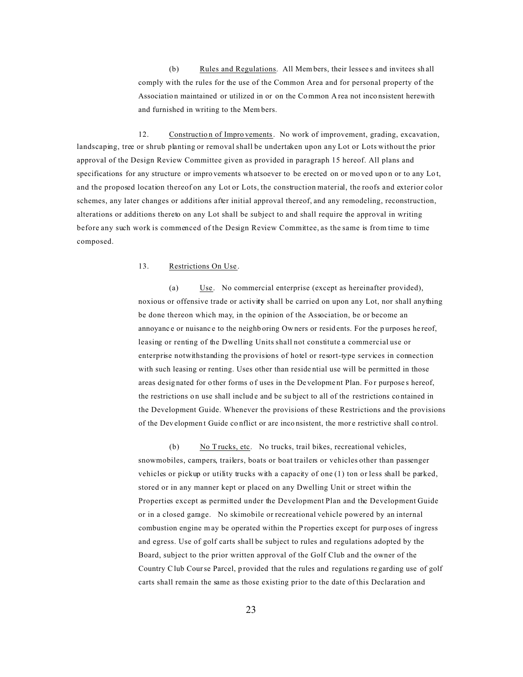(b) Rules and Regulations. All Members, their lessee s and invitees sh all comply with the rules for the use of the Common Area and for personal property of the Associatio n maintained or utilized in or on the Common A rea not inco nsistent herewith and furnished in writing to the Mem bers.

12. Constructio n of Impro vements. No work of improvement, grading, excavation, landscaping, tree or shrub planting or removal shall be undertaken upon any Lot or Lots without the prior approval of the Design Review Committee given as provided in paragraph 15 hereof. All plans and specifications for any structure or improvements whatsoever to be erected on or moved upon or to any Lot, and the proposed location thereof on any Lot or Lots, the construction material, the roofs and exterior color schemes, any later changes or additions after initial approval thereof, and any remodeling, reconstruction, alterations or additions thereto on any Lot shall be subject to and shall require the approval in writing before any such work is commenced of the Design Review Committee, as the same is from time to time composed.

#### 13. Restrictions On Use .

(a) Use. No commercial enterprise (except as hereinafter provided), noxious or offensive trade or activi**ty** shall be carried on upon any Lot, nor shall anything be done thereon which may, in the opinion of the Association, be or become an annoyance or nuisance to the neighb oring Owners or residents. For the purposes he reof, leasing or renting of the Dwelling Units shall not constitute a commercial use or enterprise notwithstanding the provisions of hotel or resort-type services in connection with such leasing or renting. Uses other than reside ntial use will be permitted in those areas designated for o ther forms of uses in the De velopment Plan. For purpose s hereof, the restrictions o n use shall includ e and be su bject to all of the restrictions co ntained in the Development Guide. Whenever the provisions of these Restrictions and the provisions of the Dev elopmen t Guide co nflict or are inco nsistent, the mor e restrictive shall co ntrol.

(b) No Trucks, etc. No trucks, trail bikes, recreational vehicles, snowmobiles, campers, trailers, boats or boat trailers or vehicles other than passenger vehicles or pickup or utility trucks with a capacity of one (1) ton or less shall be parked, stored or in any manner kept or placed on any Dwelling Unit or street within the Properties except as permitted under the Development Plan and the Development Guide or in a closed garage. No skimobile or recreational vehicle powered by an internal combustion engine m ay be operated within the P roperties except for purp oses of ingress and egress. Use of golf carts shall be subject to rules and regulations adopted by the Board, subject to the prior written approval of the Golf Club and the owner of the Country Club Course Parcel, p rovided that the rules and regulations re garding use of golf carts shall remain the same as those existing prior to the date of this Declaration and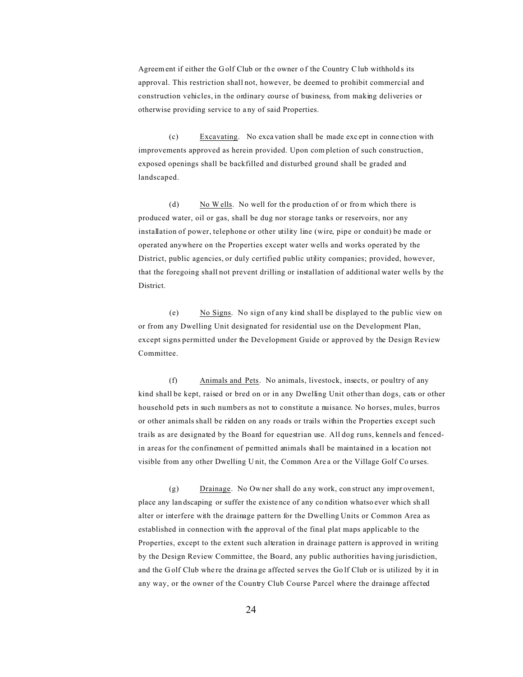Agreement if either the Golf Club or the owner of the Country Club withholds its approval. This restriction shall not, however, be deemed to prohibit commercial and construction vehicles, in the ordinary course of business, from making deliveries or otherwise providing service to a ny of said Properties.

(c) Excavating. No exca vation shall be made exc ept in conne ction with improvements approved as herein provided. Upon com pletion of such construction, exposed openings shall be backfilled and disturbed ground shall be graded and landscaped.

(d) No W ells. No well for th e produ ction of or from which there is produced water, oil or gas, shall be dug nor storage tanks or reservoirs, nor any installation of power, telephone or other utility line (wire, pipe or conduit) be made or operated anywhere on the Properties except water wells and works operated by the District, public agencies, or duly certified public utility companies; provided, however, that the foregoing shall not prevent drilling or installation of additional water wells by the District.

(e) No Signs. No sign of any kind shall be displayed to the public view on or from any Dwelling Unit designated for residential use on the Development Plan, except signs permitted under the Development Guide or approved by the Design Review Committee.

(f) Animals and Pets. No animals, livestock, insects, or poultry of any kind shall be kept, raised or bred on or in any Dwelling Unit other than dogs, cats or other household pets in such numbers as not to constitute a nuisance. No horses, mules, burros or other animals shall be ridden on any roads or trails within the Properties except such trails as are designated by the Board for equestrian use. All dog runs, kennels and fencedin areas for the confinement of permitted animals shall be maintained in a location not visible from any other Dwelling U nit, the Common Are a or the Village Golf Co urses.

(g) Drainage. No Ow ner shall do a ny work, con struct any impr ovemen t, place any lan dscaping or suffer the existe nce of any co ndition whatso ever which sh all alter or interfere with the drainage pattern for the Dwelling Units or Common Area as established in connection with the approval of the final plat maps applicable to the Properties, except to the extent such alteration in drainage pattern is approved in writing by the Design Review Committee, the Board, any public authorities having jurisdiction, and the G olf Club whe re the draina ge affected se rves the Go lf Club or is utilized by it in any way, or the owner of the Country Club Course Parcel where the drainage affected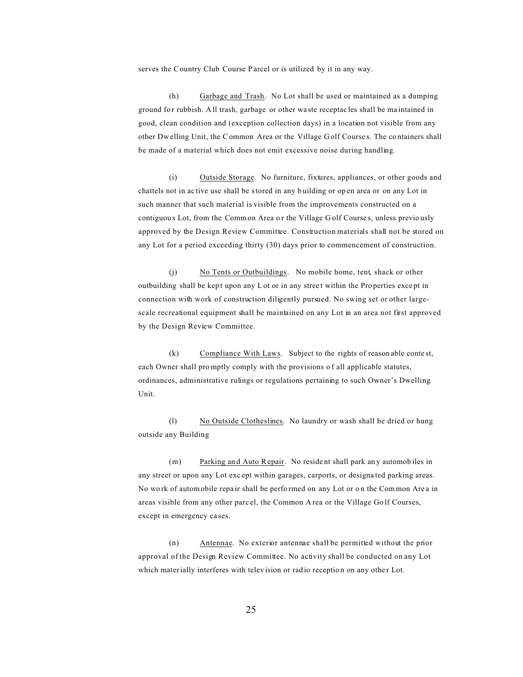serves the Country Club Course P arcel or is utilized by it in any way.

(h) Garbage and Trash. No Lot shall be used or maintained as a dumping ground for rubbish. All trash, garbage or other waste receptacles shall be maintained in good, clean condition and (exception collection days) in a location not visible from any other Dw elling Unit, the Common Area or the Village G olf Course s. The co ntainers shall be made of a material which does not emit excessive noise during handling.

(i) Outside Storage. No furniture, fixtures, appliances, or other goods and chattels not in ac tive use shall be stored in any b uilding or op en area or on any Lot in such manner that such material is visible from the improvements constructed on a contiguous Lot, from the Common Area or the Village G olf Courses, unless previo usly approved by the Design Review Committee. Construction materials shall not be stored on any Lot for a period exceeding thirty (30) days prior to commencement of construction.

(j) No Tents or Outbuildings. No mobile home, tent, shack or other outbuilding shall be kep t upon any Lot or in any stree t within the Pro perties exce pt in connection with work of construction diligently pursued. No swing set or other largescale recreational equipment shall be maintained on any Lot in an area not first approved by the Design Review Committee.

(k) Compliance With Laws. Subject to the rights of reason able conte st, each Owner shall promptly comply with the provisions of all applicable statutes, ordinances, administrative rulings or regulations pertaining to such Owner's Dwelling Unit.

(l) No Outside Clotheslines. No laundry or wash shall be dried or hung outside any Building

(m) Parking an d Auto Repair. No reside nt shall park an y automob iles in any street or upon any Lot exc ept within garages, carports, or designa ted parking areas. No wo rk of automobile repa ir shall be perfo rmed on any Lot or o n the Common Are a in areas visible from any other parc el, the Common A rea or the Village Go lf Courses, except in emergency ca ses.

(n) Antennae. No exterior antennae shall be permitted without the prior approval of the Design Review Committee. No activity shall be conducted on any Lot which materially interferes with television or radio reception on any other Lot.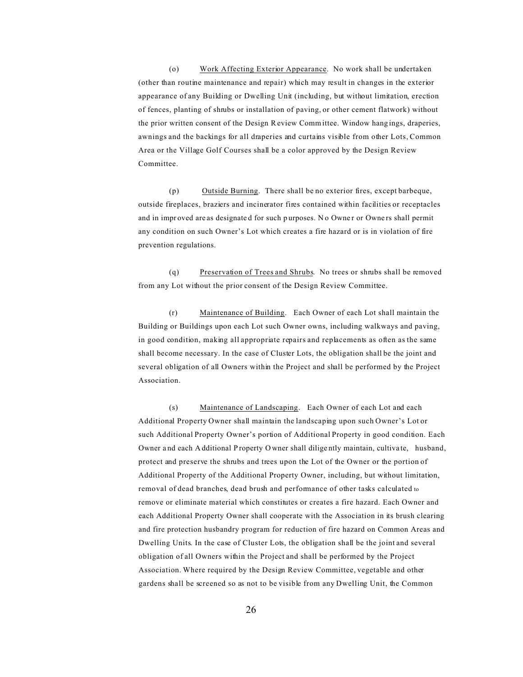(o) Work Affecting Exterior Appearance. No work shall be undertaken (other than routine maintenance and repair) which may result in changes in the exterior appearance of any Building or Dwelling Unit (including, but without limitation, erection of fences, planting of shrubs or installation of paving, or other cement flatwork) without the prior written consent of the Design R eview Committee. Window hang ings, draperies, awnings and the backings for all draperies and curtains visible from other Lots, Common Area or the Village Golf Courses shall be a color approved by the Design Review Committee.

(p) Outside Burning. There shall be no exterior fires, except barbeque, outside fireplaces, braziers and incinerator fires contained within facilities or receptacles and in improved are as designated for such purposes. No Owner or Owners shall permit any condition on such Owner's Lot which creates a fire hazard or is in violation of fire prevention regulations.

(q) Preservation of Trees and Shrubs. No trees or shrubs shall be removed from any Lot without the prior consent of the Design Review Committee.

(r) Maintenance of Building. Each Owner of each Lot shall maintain the Building or Buildings upon each Lot such Owner owns, including walkways and paving, in good condition, making all appropriate repairs and replacements as often as the same shall become necessary. In the case of Cluster Lots, the obligation shall be the joint and several obligation of all Owners within the Project and shall be performed by the Project Association.

(s) Maintenance of Landscaping. Each Owner of each Lot and each Additional Property Owner shall maintain the landscaping upon such Owner's Lot or such Additional Property Owner's portion of Additional Property in good condition. Each Owner a nd each A dditional P roperty O wner shall dilige ntly maintain, cultiva te, husband, protect and preserve the shrubs and trees upon the Lot of the Owner or the portion of Additional Property of the Additional Property Owner, including, but without limitation, removal of dead branches, dead brush and performance of other tasks calculated to remove or eliminate material which constitutes or creates a fire hazard. Each Owner and each Additional Property Owner shall cooperate with the Association in its brush clearing and fire protection husbandry program for reduction of fire hazard on Common Areas and Dwelling Units. In the case of Cluster Lots, the obligation shall be the joint and several obligation of all Owners within the Project and shall be performed by the Project Association. Where required by the Design Review Committee, vegetable and other gardens shall be screened so as not to be visible from any Dwelling Unit, the Common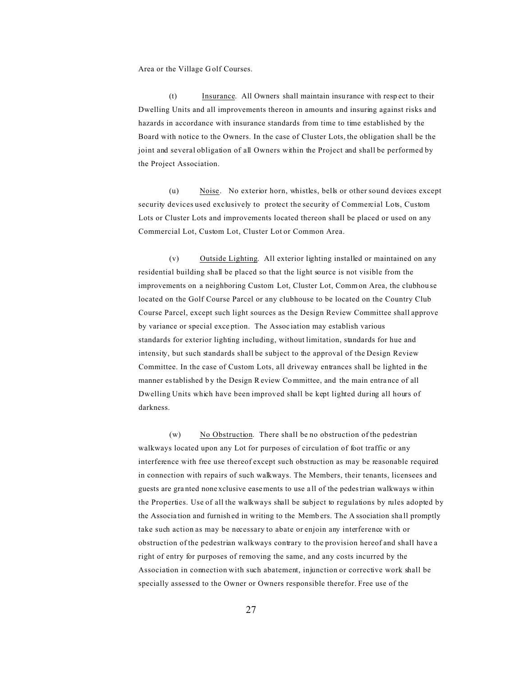Area or the Village G olf Courses.

(t) Insurance. All Owners shall maintain insu rance with resp ect to their Dwelling Units and all improvements thereon in amounts and insuring against risks and hazards in accordance with insurance standards from time to time established by the Board with notice to the Owners. In the case of Cluster Lots, the obligation shall be the joint and several obligation of all Owners within the Project and shall be performed by the Project Association.

(u) Noise. No exterior horn, whistles, bells or other sound devices except security devices used exclusively to protect the security of Commercial Lots, Custom Lots or Cluster Lots and improvements located thereon shall be placed or used on any Commercial Lot, Custom Lot, Cluster Lot or Common Area.

(v) Outside Lighting. All exterior lighting installed or maintained on any residential building shall be placed so that the light source is not visible from the improvements on a neighboring Custom Lot, Cluster Lot, Comm on Area, the clubhou se located on the Golf Course Parcel or any clubhouse to be located on the Country Club Course Parcel, except such light sources as the Design Review Committee shall approve by variance or special exce ption. The Assoc iation may establish various standards for exterior lighting including, without limitation, standards for hue and intensity, but such standards shall be subject to the approval of the Design Review Committee. In the case of Custom Lots, all driveway entrances shall be lighted in the manner established by the Design R eview Committee, and the main entra nce of all Dwelling Units which have been improved shall be kept lighted during all hours of darkness.

(w) No Obstruction. There shall be no obstruction of the pedestrian walkways located upon any Lot for purposes of circulation of foot traffic or any interference with free use thereof except such obstruction as may be reasonable required in connection with repairs of such walkways. The Members, their tenants, licensees and guests are gra nted none xclusive easements to use a ll of the pedestrian walkways w ithin the Properties. Use of all the walkways shall be subject to regulations by rules adopted by the Associa tion and furnish ed in writing to the Memb ers. The A ssociation sha ll promptly take such action as may be necessary to abate or enjoin any interference with or obstruction of the pedestrian walkways contrary to the provision hereof and shall have a right of entry for purposes of removing the same, and any costs incurred by the Association in connection with such abatement, injunction or corrective work shall be specially assessed to the Owner or Owners responsible therefor. Free use of the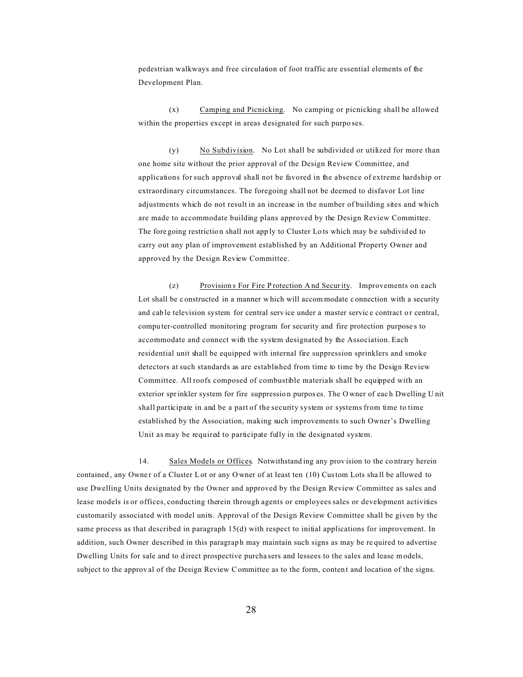pedestrian walkways and free circulation of foot traffic are essential elements of the Development Plan.

(x) Camping and Picnicking. No camping or picnicking shall be allowed within the properties except in areas d esignated for such purpo ses.

(y) No Subdivision. No Lot shall be subdivided or utilized for more than one home site without the prior approval of the Design Review Committee, and applications for such approval shall not be favored in the absence of extreme hardship or extraordinary circumstances. The foregoing shall not be deemed to disfavor Lot line adjustments which do not result in an increase in the number of building sites and which are made to accommodate building plans approved by the Design Review Committee. The fore going restriction shall not app ly to Cluster Lots which may be subdivided to carry out any plan of improvement established by an Additional Property Owner and approved by the Design Review Committee.

(z) Provisions For Fire P rotection And Security. Improvements on each Lot shall be constructed in a manner which will accommodate connection with a security and cable television system for central service under a master service contract or central, compu ter-controlled monitoring program for security and fire protection purpose s to accommodate and connect with the system designated by the Association. Each residential unit shall be equipped with internal fire suppression sprinklers and smoke detectors at such standards as are established from time to time by the Design Review Committee. All roofs composed of combustible materials shall be equipped with an exterior sprinkler system for fire suppressio n purpos es. The O wner of eac h Dwelling U nit shall participate in and be a part of the security system or systems from time to time established by the Association, making such improvements to such Owner's Dwelling Unit as may be required to participate fully in the designated system.

14. Sales Models or Offices. Notwithstand ing any prov ision to the co ntrary herein contained, any Owner of a Cluster Lot or any Owner of at least ten (10) Custom Lots shall be allowed to use Dwelling Units designated by the Owner and approved by the Design Review Committee as sales and lease models is or offices, conducting therein through agents or employees sales or development activities customarily associated with model units. Approval of the Design Review Committee shall be given by the same process as that described in paragraph 15(d) with respect to initial applications for improvement. In addition, such Owner described in this paragraph may maintain such signs as may be required to advertise Dwelling Units for sale and to d irect prospective purcha sers and lessees to the sales and lease models, subject to the approval of the Design Review Committee as to the form, content and location of the signs.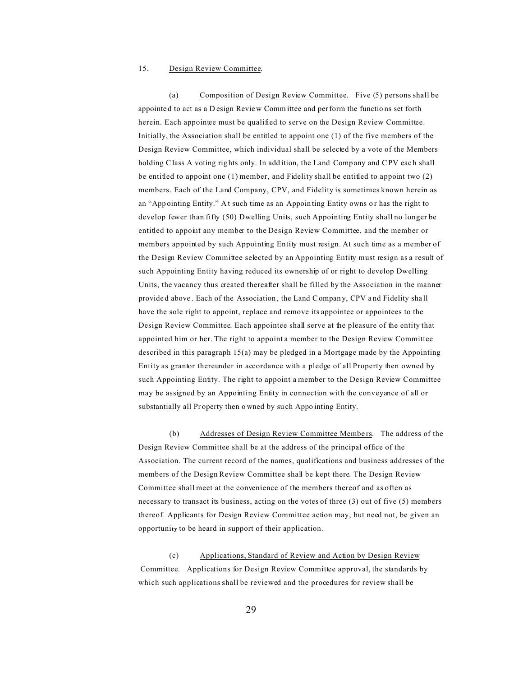# 15. Design Review Committee.

(a) Composition of Design Review Committee. Five (5) persons shall be appointe d to act as a D esign Revie w Comm ittee and perform the functio ns set forth herein. Each appointee must be qualified to serve on the Design Review Committee. Initially, the Association shall be entitled to appoint one (1) of the five members of the Design Review Committee, which individual shall be selected by a vote of the Members holding Class A voting rights only. In add ition, the Land Company and CPV each shall be entitled to appoint one  $(1)$  member, and Fidelity shall be entitled to appoint two  $(2)$ members. Each of the Land Company, CPV, and Fidelity is sometimes known herein as an "App ointing Entity." A t such time as an Appoin ting Entity owns o r has the right to develop fewer than fifty (50) Dwelling Units, such Appointing Entity shall no longer be entitled to appoint any member to the Design Review Committee, and the member or members appointed by such Appointing Entity must resign. At such time as a member of the Design Review Committee selected by an Appointing Entity must resign as a result of such Appointing Entity having reduced its ownership of or right to develop Dwelling Units, the vacancy thus created thereafter shall be filled by the Association in the manner provide d above . Each of the Association , the Land Compan y, CPV a nd Fidelity sha ll have the sole right to appoint, replace and remove its appointee or appointees to the Design Review Committee. Each appointee shall serve at the pleasure of the entity that appointed him or her. The right to appoint a member to the Design Review Committee described in this paragraph 15(a) may be pledged in a Mortgage made by the Appointing Entity as grantor thereunder in accordance with a pledge of all Property then owned by such Appointing Entity. The right to appoint a member to the Design Review Committee may be assigned by an Appointing Entity in connection with the conveyance of all or substantially all Pr operty then o wned by su ch Appo inting Entity.

(b) Addresses of Design Review Committee Membe rs. The address of the Design Review Committee shall be at the address of the principal office of the Association. The current record of the names, qualifications and business addresses of the members of the Design Review Committee shall be kept there. The Design Review Committee shall meet at the convenience of the members thereof and as often as necessary to transact its business, acting on the votes of three (3) out of five (5) members thereof. Applicants for Design Review Committee action may, but need not, be given an opportuni**ty** to be heard in support of their application.

(c) Applications, Standard of Review and Action by Design Review Committee. Applications for Design Review Committee approval, the standards by which such applications shall be reviewed and the procedures for review shall be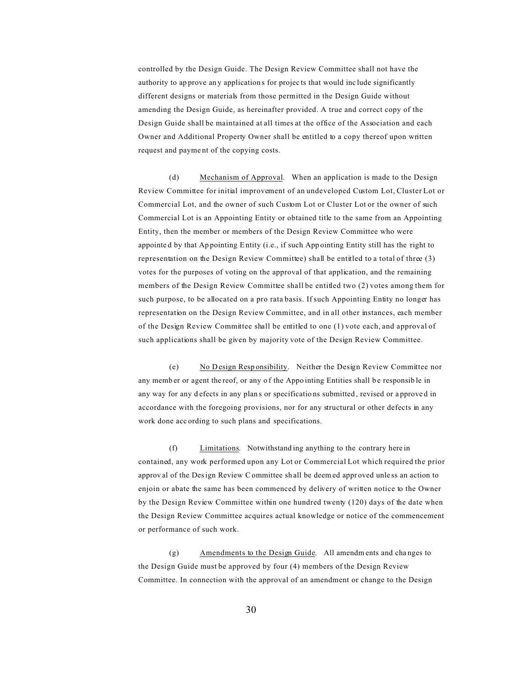controlled by the Design Guide. The Design Review Committee shall not have the authority to ap prove an y application s for projec ts that would inc lude significantly different designs or materials from those permitted in the Design Guide without amending the Design Guide, as hereinafter provided. A true and correct copy of the Design Guide shall be maintained at all times at the office of the Association and each Owner and Additional Property Owner shall be entitled to a copy thereof upon written request and payme nt of the copying costs.

(d) Mechanism of Approval. When an application is made to the Design Review Committee for initial improvement of an undeveloped Custom Lot, Cluster Lot or Commercial Lot, and the owner of such Custom Lot or Cluster Lot or the owner of such Commercial Lot is an Appointing Entity or obtained title to the same from an Appointing Entity, then the member or members of the Design Review Committee who were appointe d by that Ap pointing Entity (i.e., if such App ointing Entity still has the right to representation on the Design Review Committee) shall be entitled to a total of three (3) votes for the purposes of voting on the approval of that application, and the remaining members of the Design Review Committee shall be entitled two (2) votes among them for such purpose, to be allocated on a pro rata basis. If such Appointing Entity no longer has representation on the Design Review Committee, and in all other instances, each member of the Design Review Committee shall be entitled to one (1) vote each, and approval of such applications shall be given by majority vote of the Design Review Committee.

(e) No D esign Resp onsibility. Neither the Design Review Committee nor any member or agent the reof, or any of the Appo inting Entities shall be responsible in any way for any defects in any plans or specifications submitted, revised or approved in accordance with the foregoing provisions, nor for any structural or other defects in any work done acc ording to such plans and specifications.

(f) Limitations. Notwithstand ing anything to the contrary here in contained, any work performed upon any Lot or Commercial Lot which required the prior approv al of the Design Review C ommittee sh all be deem ed appr oved unle ss an action to enjoin or abate the same has been commenced by delivery of written notice to the Owner by the Design Review Committee within one hundred twenty (120) days of the date when the Design Review Committee acquires actual knowledge or notice of the commencement or performance of such work.

(g) Amendments to the Design Guide. All amendm ents and cha nges to the Design Guide must be approved by four (4) members of the Design Review Committee. In connection with the approval of an amendment or change to the Design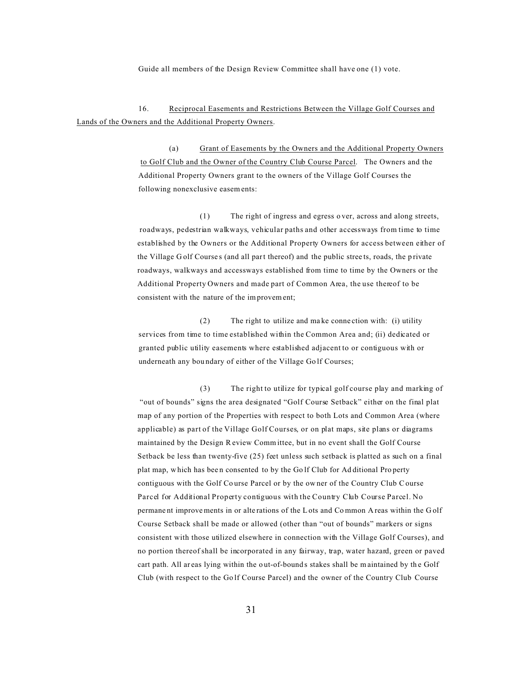Guide all members of the Design Review Committee shall have one (1) vote.

16. Reciprocal Easements and Restrictions Between the Village Golf Courses and Lands of the Owners and the Additional Property Owners.

> (a) Grant of Easements by the Owners and the Additional Property Owners to Golf Club and the Owner of the Country Club Course Parcel. The Owners and the Additional Property Owners grant to the owners of the Village Golf Courses the following nonexclusive easements:

> (1) The right of ingress and egress o ver, across and along streets, roadways, pedestrian walkways, vehicular paths and other accessways from time to time established by the Owners or the Additional Property Owners for access between either of the Village G olf Course s (and all part thereof) and the public stree ts, roads, the p rivate roadways, walkways and accessways established from time to time by the Owners or the Additional Property Owners and made part of Common Area, the use thereof to be consistent with the nature of the improvement;

(2) The right to utilize and ma ke conne ction with: (i) utility services from time to time established within the Common Area and; (ii) dedicated or granted public utility easements where established adjacent to or contiguous with or underneath any bou ndary of either of the Village Go lf Courses;

(3) The right to utilize for typical golf course play and marking of "out of bounds" signs the area designated "Golf Course Setback" either on the final plat map of any portion of the Properties with respect to both Lots and Common Area (where applicable) as part of the Village Golf Courses, or on plat maps, site plans or diagrams maintained by the Design R eview Committee, but in no event shall the Golf Course Setback be less than twenty-five (25) feet unless such setback is platted as such on a final plat map, w hich has bee n consented to by the Go lf Club for Ad ditional Pro perty contiguous with the Golf Co urse Parcel or by the ow ner of the Country Club Course Parcel for Additional Property contiguous with the Country Club Course Parcel. No permane nt improvements in or alte rations of the Lots and Co mmon A reas within the G olf Course Setback shall be made or allowed (other than "out of bounds" markers or signs consistent with those utilized elsewhere in connection with the Village Golf Courses), and no portion thereof shall be incorporated in any fairway, trap, water hazard, green or paved cart path. All areas lying within the out-of-bounds stakes shall be maintained by the Golf Club (with respect to the Go lf Course Parcel) and the owner of the Country Club Course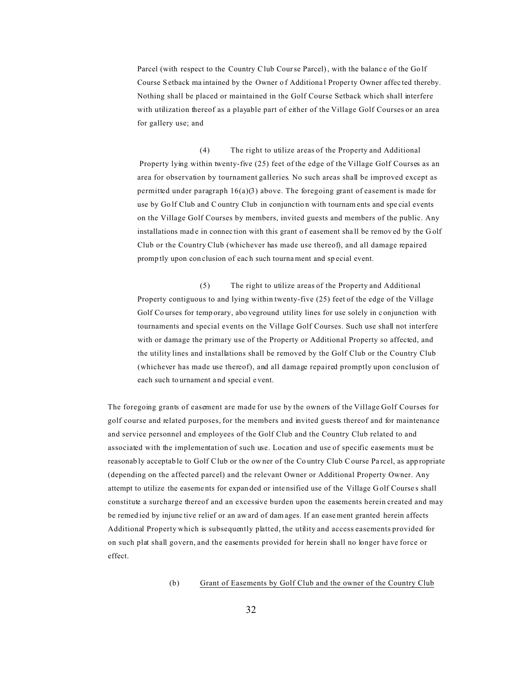Parcel (with respect to the Country Club Course Parcel), with the balanc e of the Go lf Course Setback ma intained by the Owner of Additional Property Owner affected thereby. Nothing shall be placed or maintained in the Golf Course Setback which shall interfere with utilization thereof as a playable part of either of the Village Golf Courses or an area for gallery use; and

(4) The right to utilize areas of the Property and Additional Property lying within twenty-five (25) feet of the edge of the Village Golf Courses as an area for observation by tournament galleries. No such areas shall be improved except as permitted under paragraph 16(a)(3) above. The foregoing grant of easement is made for use by Go lf Club and C ountry Club in conjunctio n with tournam ents and spe cial events on the Village Golf Courses by members, invited guests and members of the public. Any installations made in connection with this grant of easement shall be removed by the Golf Club or the Country Club (whichever has made use thereof), and all damage repaired promp tly upon con clusion of eac h such tourna ment and sp ecial event.

(5) The right to utilize areas of the Property and Additional Property contiguous to and lying within twenty-five (25) feet of the edge of the Village Golf Courses for temp orary, above ground utility lines for use solely in conjunction with tournaments and special events on the Village Golf Courses. Such use shall not interfere with or damage the primary use of the Property or Additional Property so affected, and the utility lines and installations shall be removed by the Golf Club or the Country Club (whichever has made use thereof), and all damage repaired promptly upon conclusion of each such to urnament a nd special e vent.

The foregoing grants of easement are made for use by the owners of the Village Golf Courses for golf course and related purposes, for the members and invited guests thereof and for maintenance and service personnel and employees of the Golf Club and the Country Club related to and associated with the implementation of such use. Location and use of specific easements must be reasonab ly acceptab le to Golf Club or the ow ner of the Co untry Club Course Pa rcel, as app ropriate (depending on the affected parcel) and the relevant Owner or Additional Property Owner. Any attempt to utilize the easeme nts for expan ded or inte nsified use of the Village G olf Course s shall constitute a surcharge thereof and an excessive burden upon the easements herein created and may be remed ied by injunc tive relief or an aw ard of dam ages. If an easement granted herein affects Additional Property which is subsequently platted, the utility and access easements provided for on such plat shall govern, and the easements provided for herein shall no longer have force or effect.

## (b) Grant of Easements by Golf Club and the owner of the Country Club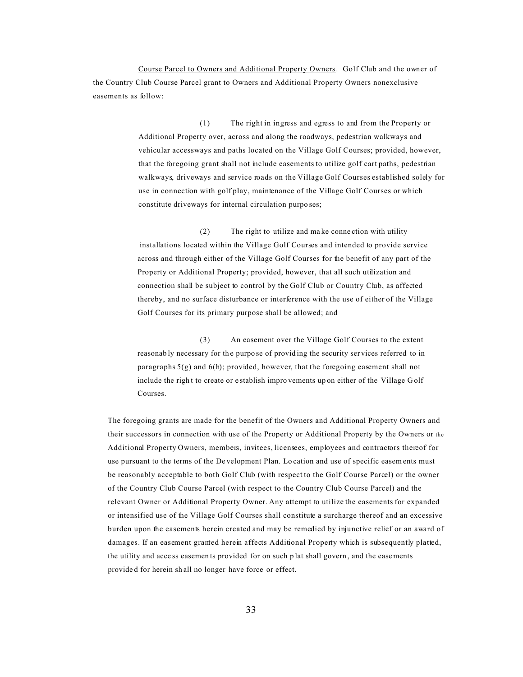Course Parcel to Owners and Additional Property Owners. Golf Club and the owner of the Country Club Course Parcel grant to Owners and Additional Property Owners nonexclusive easements as follow:

> (1) The right in ingress and egress to and from the Property or Additional Property over, across and along the roadways, pedestrian walkways and vehicular accessways and paths located on the Village Golf Courses; provided, however, that the foregoing grant shall not include easements to utilize golf cart paths, pedestrian walkways, driveways and service roads on the Village Golf Courses established solely for use in connection with golf play, maintenance of the Village Golf Courses or which constitute driveways for internal circulation purpo ses;

(2) The right to utilize and ma ke conne ction with utility installations located within the Village Golf Courses and intended to provide service across and through either of the Village Golf Courses for the benefit of any part of the Property or Additional Property; provided, however, that all such utilization and connection shall be subject to control by the Golf Club or Country Club, as affected thereby, and no surface disturbance or interference with the use of either of the Village Golf Courses for its primary purpose shall be allowed; and

(3) An easement over the Village Golf Courses to the extent reasonab ly necessary for th e purpo se of provid ing the security ser vices referred to in paragraphs 5(g) and 6(h); provided, however, that the foregoing easement shall not include the right to create or establish impro vements up on either of the Village Golf Courses.

The foregoing grants are made for the benefit of the Owners and Additional Property Owners and their successors in connection with use of the Property or Additional Property by the Owners or the Additional Property Owners, members, invitees, licensees, employees and contractors thereof for use pursuant to the terms of the De velopment Plan. Lo cation and use of specific easem ents must be reasonably acceptable to both Golf Club (with respect to the Golf Course Parcel) or the owner of the Country Club Course Parcel (with respect to the Country Club Course Parcel) and the relevant Owner or Additional Property Owner. Any attempt to utilize the easements for expanded or intensified use of the Village Golf Courses shall constitute a surcharge thereof and an excessive burden upon the easements herein created and may be remedied by injunctive relief or an award of damages. If an easement granted herein affects Additional Property which is subsequently platted, the utility and acce ss easemen ts provided for on such p lat shall govern , and the easements provide d for herein sh all no longer have force or effect.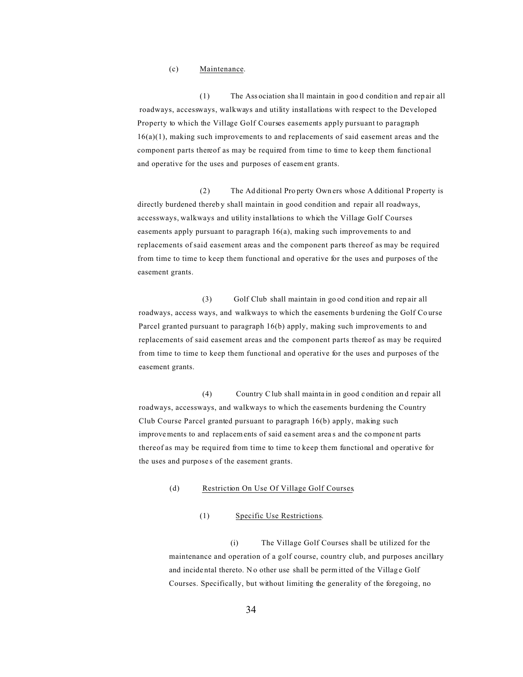#### (c) Maintenance.

(1) The Ass ociation sha ll maintain in goo d conditio n and rep air all roadways, accessways, walkways and utility installations with respect to the Developed Property to which the Village Golf Courses easements apply pursuant to paragraph 16(a)(1), making such improvements to and replacements of said easement areas and the component parts thereof as may be required from time to time to keep them functional and operative for the uses and purposes of easem ent grants.

(2) The Ad ditional Pro perty Own ers whose A dditional P roperty is directly burdened thereb y shall maintain in good condition and repair all roadways, accessways, walkways and utility installations to which the Village Golf Courses easements apply pursuant to paragraph 16(a), making such improvements to and replacements of said easement areas and the component parts thereof as may be required from time to time to keep them functional and operative for the uses and purposes of the easement grants.

 (3) Golf Club shall maintain in go od cond ition and rep air all roadways, access ways, and walkways to which the easements burdening the Golf Course Parcel granted pursuant to paragraph 16(b) apply, making such improvements to and replacements of said easement areas and the component parts thereof as may be required from time to time to keep them functional and operative for the uses and purposes of the easement grants.

 (4) Country Club shall mainta in in good c ondition an d repair all roadways, accessways, and walkways to which the easements burdening the Country Club Course Parcel granted pursuant to paragraph 16(b) apply, making such improvements to and replacements of said ea sement area s and the compone nt parts thereof as may be required from time to time to keep them functional and operative for the uses and purpose s of the easement grants.

## (d) Restriction On Use Of Village Golf Courses.

# (1) Specific Use Restrictions.

(i) The Village Golf Courses shall be utilized for the maintenance and operation of a golf course, country club, and purposes ancillary and incidental thereto. No other use shall be permitted of the Village Golf Courses. Specifically, but without limiting the generality of the foregoing, no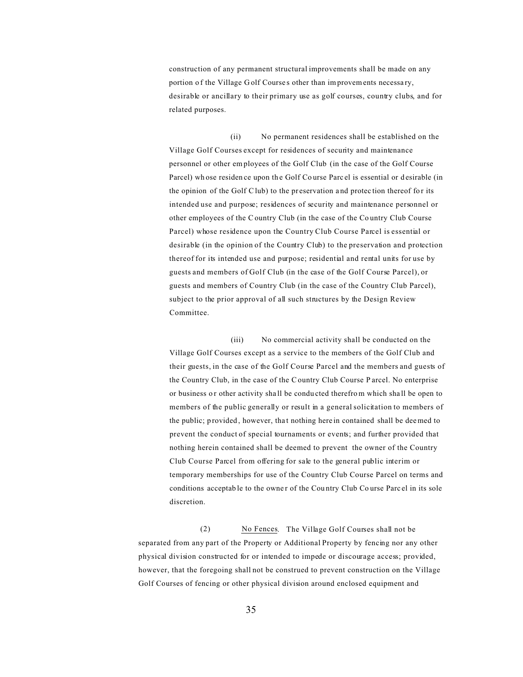construction of any permanent structural improvements shall be made on any portion of the Village G olf Courses other than improvements necessary, desirable or ancillary to their primary use as golf courses, country clubs, and for related purposes.

(ii) No permanent residences shall be established on the Village Golf Courses except for residences of security and maintenance personnel or other em ployees of the Golf Club (in the case of the Golf Course Parcel) whose residence upon the Golf Course Parcel is essential or desirable (in the opinion of the Golf Club) to the pr eservation a nd protec tion thereof fo r its intended use and purpose; residences of security and maintenance personnel or other employees of the Country Club (in the case of the Co untry Club Course Parcel) whose residence upon the Country Club Course Parcel is essential or desirable (in the opinion of the Country Club) to the preservation and protection thereof for its intended use and purpose; residential and rental units for use by guests and members of Golf Club (in the case of the Golf Course Parcel), or guests and members of Country Club (in the case of the Country Club Parcel), subject to the prior approval of all such structures by the Design Review Committee.

 (iii) No commercial activity shall be conducted on the Village Golf Courses except as a service to the members of the Golf Club and their guests, in the case of the Golf Course Parcel and the members and guests of the Country Club, in the case of the Country Club Course P arcel. No enterprise or business or other activity shall be conducted therefrom which shall be open to members of the public generally or result in a general solicitation to members of the public; provided, however, that nothing here in contained shall be deemed to prevent the conduct of special tournaments or events; and further provided that nothing herein contained shall be deemed to prevent the owner of the Country Club Course Parcel from offering for sale to the general public interim or temporary memberships for use of the Country Club Course Parcel on terms and conditions acceptable to the owner of the Country Club Course Parc el in its sole discretion.

(2) No Fences. The Village Golf Courses shall not be separated from any part of the Property or Additional Property by fencing nor any other physical division constructed for or intended to impede or discourage access; provided, however, that the foregoing shall not be construed to prevent construction on the Village Golf Courses of fencing or other physical division around enclosed equipment and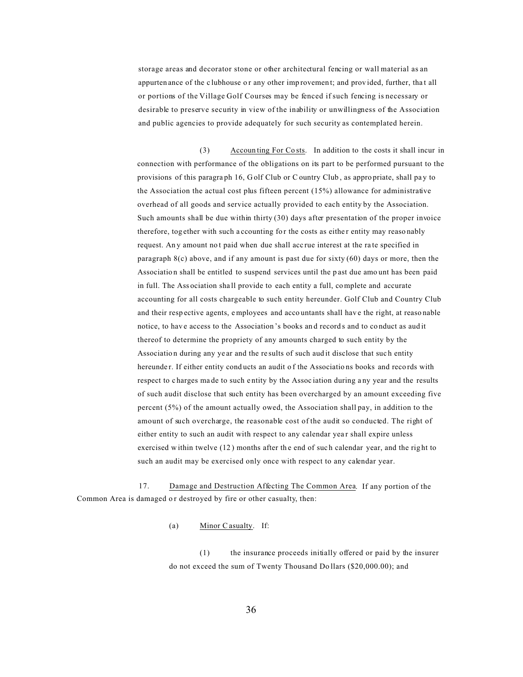storage areas and decorator stone or other architectural fencing or wall material as an appurten ance of the c lubhouse or any other imp rovement; and provided, further, that all or portions of the Village Golf Courses may be fenced if such fencing is necessary or desirable to preserve security in view of the inability or unwillingness of the Association and public agencies to provide adequately for such security as contemplated herein.

(3) Accoun ting For Co sts. In addition to the costs it shall incur in connection with performance of the obligations on its part to be performed pursuant to the provisions of this paragra ph 16, G olf Club or C ountry Club , as appro priate, shall pa y to the Association the actual cost plus fifteen percent (15%) allowance for administrative overhead of all goods and service actually provided to each entity by the Association. Such amounts shall be due within thirty (30) days after presentation of the proper invoice therefore, tog ether with such a ccounting for the costs as either entity may reaso nably request. An y amount no t paid when due shall acc rue interest at the ra te specified in paragraph 8(c) above, and if any amount is past due for sixty (60) days or more, then the Associatio n shall be entitled to suspend services until the p ast due amo unt has been paid in full. The Ass ociation sha ll provide to each entity a full, complete and accurate accounting for all costs chargeable to such entity hereunder. Golf Club and Country Club and their resp ective agents, employees and acco untants shall hav e the right, at reaso nable notice, to hav e access to the Association 's books an d record s and to co nduct as aud it thereof to determine the propriety of any amounts charged to such entity by the Associatio n during any ye ar and the re sults of such aud it disclose that suc h entity hereunde r. If either entity cond ucts an audit o f the Associatio ns books and reco rds with respect to c harges ma de to such e ntity by the Assoc iation during a ny year and the results of such audit disclose that such entity has been overcharged by an amount exceeding five percent (5%) of the amount actually owed, the Association shall pay, in addition to the amount of such overcharge, the reasonable cost of the audit so conducted. The right of either entity to such an audit with respect to any calendar yea r shall expire unless exercised within twelve (12) months after the end of such calendar year, and the right to such an audit may be exercised only once with respect to any calendar year.

17. Damage and Destruction Affecting The Common Area. If any portion of the Common Area is damaged or destroyed by fire or other casualty, then:

(a) Minor C asualty. If:

(1) the insurance proceeds initially offered or paid by the insurer do not exceed the sum of Twenty Thousand Do llars (\$20,000.00); and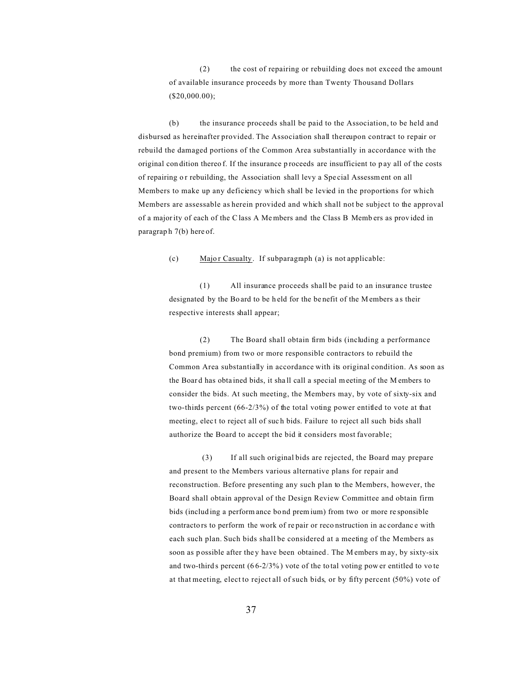(2) the cost of repairing or rebuilding does not exceed the amount of available insurance proceeds by more than Twenty Thousand Dollars (\$20,000.00);

(b) the insurance proceeds shall be paid to the Association, to be held and disbursed as hereinafter provided. The Association shall thereupon contract to repair or rebuild the damaged portions of the Common Area substantially in accordance with the original con dition thereo f. If the insurance p roceeds are insufficient to p ay all of the costs of repairing or rebuilding, the Association shall levy a Special Assessment on all Members to make up any deficiency which shall be levied in the proportions for which Members are assessable as herein provided and which shall not be subject to the approval of a majority of each of the C lass A Me mbers and the Class B Memb ers as prov ided in paragrap h 7(b) here of.

(c) Major Casualty. If subparagraph (a) is not applicable:

(1) All insurance proceeds shall be paid to an insurance trustee designated by the Bo ard to be h eld for the benefit of the Members as their respective interests shall appear;

(2) The Board shall obtain firm bids (including a performance bond premium) from two or more responsible contractors to rebuild the Common Area substantially in accordance with its original condition. As soon as the Boar d has obta ined bids, it sha ll call a special meeting of the M embers to consider the bids. At such meeting, the Members may, by vote of sixty-six and two-thirds percent (66-2/3%) of the total voting power entitled to vote at that meeting, elect to reject all of such bids. Failure to reject all such bids shall authorize the Board to accept the bid it considers most favorable;

 (3) If all such original bids are rejected, the Board may prepare and present to the Members various alternative plans for repair and reconstruction. Before presenting any such plan to the Members, however, the Board shall obtain approval of the Design Review Committee and obtain firm bids (includ ing a perform ance bo nd premium) from two or more re sponsible contracto rs to perform the work of re pair or reco nstruction in ac cordanc e with each such plan. Such bids shall be considered at a meeting of the Members as soon as possible after they have been obtained. The M embers may, by sixty-six and two-thirds percent  $(66-2/3%)$  vote of the total voting pow er entitled to vote at that meeting, elect to reject all of such bids, or by fifty percent (50%) vote of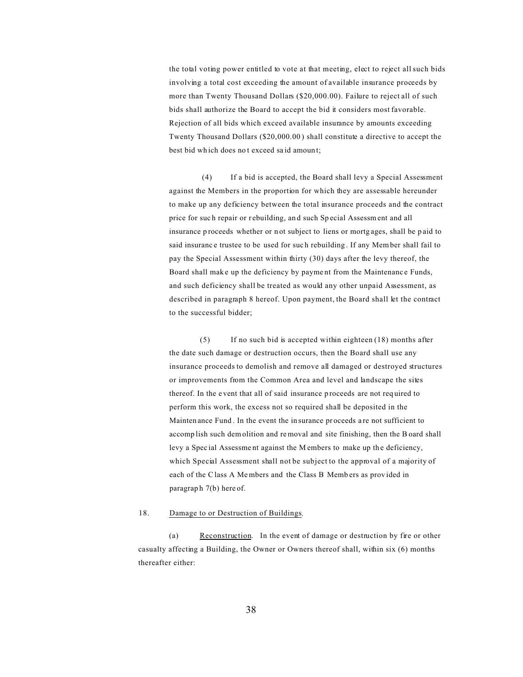the total voting power entitled to vote at that meeting, elect to reject all such bids involving a total cost exceeding the amount of available insurance proceeds by more than Twenty Thousand Dollars (\$20,000.00). Failure to reject all of such bids shall authorize the Board to accept the bid it considers most favorable. Rejection of all bids which exceed available insurance by amounts exceeding Twenty Thousand Dollars (\$20,000.00 ) shall constitute a directive to accept the best bid wh ich does no t exceed sa id amoun t;

 (4) If a bid is accepted, the Board shall levy a Special Assessment against the Members in the proportion for which they are assessable hereunder to make up any deficiency between the total insurance proceeds and the contract price for suc h repair or r ebuilding, an d such Sp ecial Assessm ent and all insurance proceeds whether or not subject to liens or mortgages, shall be paid to said insurance trustee to be used for such rebuilding. If any Member shall fail to pay the Special Assessment within thirty (30) days after the levy thereof, the Board shall mak e up the deficiency by payme nt from the Maintenanc e Funds, and such deficiency shall be treated as would any other unpaid Assessment, as described in paragraph 8 hereof. Upon payment, the Board shall let the contract to the successful bidder;

 (5) If no such bid is accepted within eighteen (18) months after the date such damage or destruction occurs, then the Board shall use any insurance proceeds to demolish and remove all damaged or destroyed structures or improvements from the Common Area and level and landscape the sites thereof. In the e vent that all of said insurance p roceeds are not req uired to perform this work, the excess not so required shall be deposited in the Mainten ance Fund . In the event the in surance pr oceeds a re not sufficient to accomp lish such demolition and removal and site finishing, then the B oard shall levy a Spec ial Assessment against the M embers to make up the deficiency, which Special Assessment shall not be subject to the approval of a majority of each of the Class A Me mbers and the Class B Memb ers as prov ided in paragrap h 7(b) here of.

# 18. Damage to or Destruction of Buildings.

(a) Reconstruction. In the event of damage or destruction by fire or other casualty affecting a Building, the Owner or Owners thereof shall, within six (6) months thereafter either: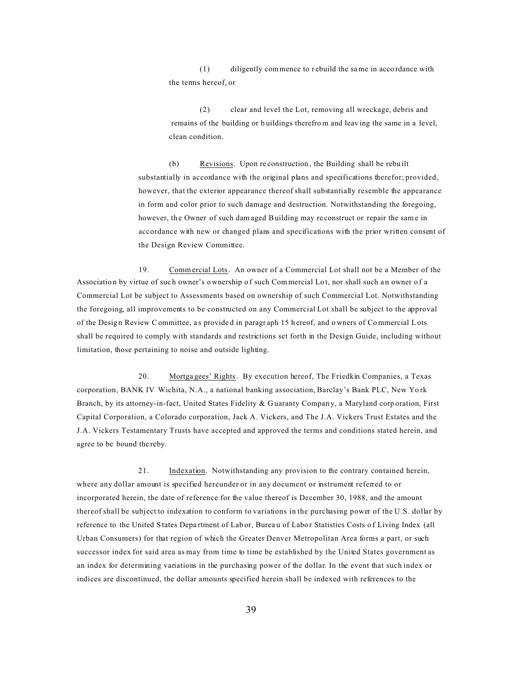(1) diligently commence to r ebuild the same in acco rdance with the terms hereof, or

(2) clear and level the Lot, removing all wreckage, debris and remains of the building or b uildings therefro m and leav ing the same in a level, clean condition.

(b) Revisions. Upon re construction , the Building shall be rebu ilt substantially in accordance with the original plans and specifications therefor; provided, however, that the exterior appearance thereof shall substantially resemble the appearance in form and color prior to such damage and destruction. Notwithstanding the foregoing, however, the Owner of such dam aged Building may reconstruct or repair the same in accordance with new or changed plans and specifications with the prior written consent of the Design Review Committee.

19. Commercial Lots. An owner of a Commercial Lot shall not be a Member of the Association by virtue of such owner's ownership of such Commercial Lot, nor shall such an owner of a Commercial Lot be subject to Assessments based on ownership of such Commercial Lot. Notwithstanding the foregoing, all improvements to be constructed on any Commercial Lot shall be subject to the approval of the Desig n Review Committee, a s provide d in paragr aph 15 h ereof, and o wners of Co mmercial L ots shall be required to comply with standards and restrictions set forth in the Design Guide, including without limitation, those pertaining to noise and outside lighting.

20. Mortga gees' Rights. By execution hereof, The Friedkin Companies, a Texas corporation, BANK IV Wichita, N.A., a national banking association, Barclay's Bank PLC, New Yo rk Branch, by its attorney-in-fact, United States Fidelity & G uaranty Compan y, a Maryland corp oration, First Capital Corporation, a Colorado corporation, Jack A. Vickers, and The J.A. Vickers Trust Estates and the J.A. Vickers Testamentary Trusts have accepted and approved the terms and conditions stated herein, and agree to be bound the reby.

21. Indexation. Notwithstanding any provision to the contrary contained herein, where any dollar amount is specified hereunder or in any document or instrument referred to or incorporated herein, the date of reference for the value thereof is December 30, 1988, and the amount thereof shall be subject to indexation to conform to variations in the purchasing power of the U.S. dollar by reference to the United States Department of Labor, Bureau of Labor Statistics Costs of Living Index (all Urban Consumers) for that region of which the Greater Denver Metropolitan Area forms a part, or such successor index for said area as may from time to time be established by the United States government as an index for determining variations in the purchasing power of the dollar. In the event that such index or indices are discontinued, the dollar amounts specified herein shall be indexed with references to the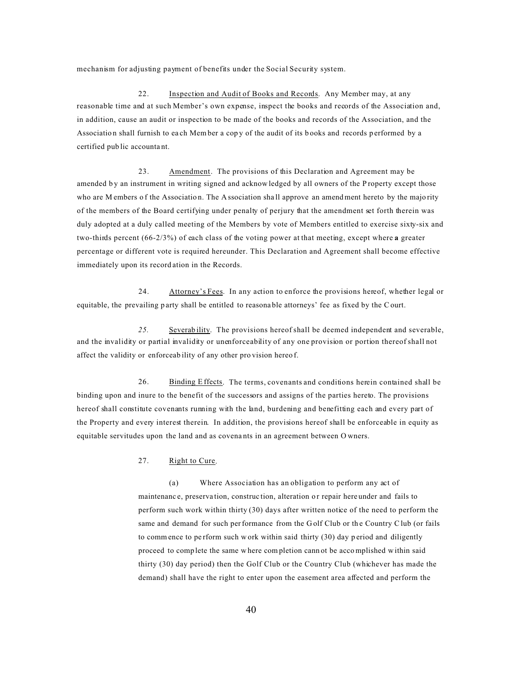mechanism for adjusting payment of benefits under the Social Security system.

22. Inspection and Audit of Books and Records. Any Member may, at any reasonable time and at such Member's own expense, inspect the books and records of the Association and, in addition, cause an audit or inspection to be made of the books and records of the Association, and the Association shall furnish to each Member a copy of the audit of its books and records performed by a certified pub lic accounta nt.

23. Amendment.The provisions of this Declaration and Agreement may be amended by an instrument in writing signed and acknow ledged by all owners of the Property except those who are M embers of the Association. The Association shall approve an amend ment hereto by the majority of the members of the Board certifying under penalty of perjury that the amendment set forth therein was duly adopted at a duly called meeting of the Members by vote of Members entitled to exercise sixty-six and two-thirds percent (66-2/3%) of each class of the voting power at that meeting, except where **a** greater percentage or different vote is required hereunder. This Declaration and Agreement shall become effective immediately upon its record ation in the Records.

24. Attorney's Fees.In any action to enforce the provisions hereof, whether legal or equitable, the prevailing p arty shall be entitled to reasona ble attorneys' fee as fixed by the Court.

*25.* Severab ility.The provisions hereof shall be deemed independent and severable, and the invalidity or partial invalidity or unenforceability of any one provision or portion thereof shall not affect the validity or enforceab ility of any other pro vision hereo f.

26. Binding E ffects.The terms, covenants and conditions herein contained shall be binding upon and inure to the benefit of the successors and assigns of the parties hereto. The provisions hereof shall constitute covenants running with the land, burdening and benefitting each and every part of the Property and every interest therein. In addition, the provisions hereof shall be enforceable in equity as equitable servitudes upon the land and as covena nts in an agreement between O wners.

27. Right to Cure.

(a) Where Association has an obligation to perform any act of maintenance, preservation, construction, alteration or repair here under and fails to perform such work within thirty (30) days after written notice of the need to perform the same and demand for such performance from the G olf Club or the Country C lub (or fails to commence to pe rform such w ork within said thirty (30) day p eriod and diligently proceed to comp lete the same w here completion cann ot be acco mplished w ithin said thirty (30) day period) then the Golf Club or the Country Club (whichever has made the demand) shall have the right to enter upon the easement area affected and perform the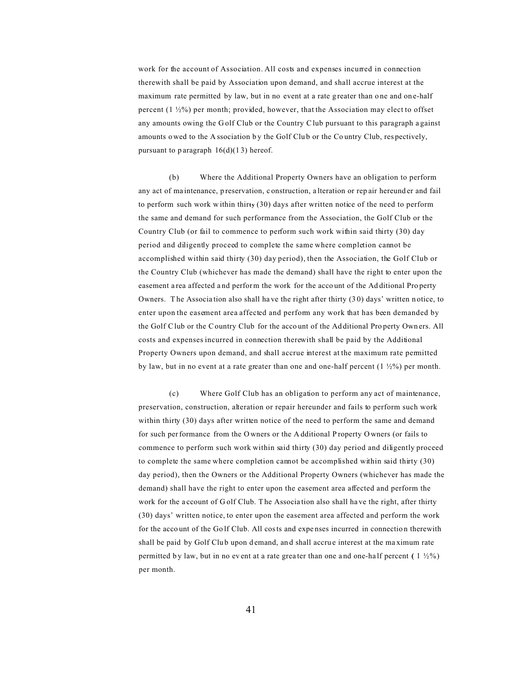work for the account of Association. All costs and expenses incurred in connection therewith shall be paid by Association upon demand, and shall accrue interest at the maximum rate permitted by law, but in no event at a rate g reater than one and one-half percent  $(1 \frac{1}{2}\%)$  per month; provided, however, that the Association may elect to offset any amounts owing the G olf Club or the Country Club pursuant to this paragraph a gainst amounts o wed to the A ssociation by the Golf Club or the Country Club, respectively, pursuant to p aragraph  $16(d)(13)$  hereof.

(b) Where the Additional Property Owners have an obligation to perform any act of ma intenance, p reservation, c onstruction, a lteration or rep air hereund er and fail to perform such work w ithin thir**ty** (30) days after written notice of the need to perform the same and demand for such performance from the Association, the Golf Club or the Country Club (or fail to commence to perform such work within said thirty (30) day period and diligently proceed to complete the same where completion cannot be accomplished within said thirty (30) day period), then the Association, the Golf Club or the Country Club (whichever has made the demand) shall have the right to enter upon the easement a rea affected a nd perform the work for the acco unt of the Ad ditional Pro perty Owners. The Association also shall have the right after thirty (30) days' written notice, to enter upon the easement area affected and perform any work that has been demanded by the Golf Club or the Country Club for the acco unt of the Ad ditional Pro perty Own ers. All costs and expenses incurred in connection therewith shall be paid by the Additional Property Owners upon demand, and shall accrue interest at the maximum rate permitted by law, but in no event at a rate greater than one and one-half percent  $(1 \frac{1}{2}\%)$  per month.

(c) Where Golf Club has an obligation to perform any act of maintenance, preservation, construction, alteration or repair hereunder and fails to perform such work within thirty (30) days after written notice of the need to perform the same and demand for such performance from the O wners or the A dditional P roperty O wners (or fails to commence to perform such work within said thirty (30) day period and diligently proceed to complete the same where completion cannot be accomplished within said thirty (30) day period), then the Owners or the Additional Property Owners (whichever has made the demand) shall have the right to enter upon the easement area affected and perform the work for the a ccount of G olf Club. The Association also shall have the right, after thirty (30) days' written notice, to enter upon the easement area affected and perform the work for the acco unt of the Go lf Club. All costs and expe nses incurred in connectio n therewith shall be paid by Golf Club upon demand, and shall accrue interest at the maximum rate permitted by law, but in no event at a rate greater than one and one-half percent  $(1 \frac{1}{2}\%)$ per month.

41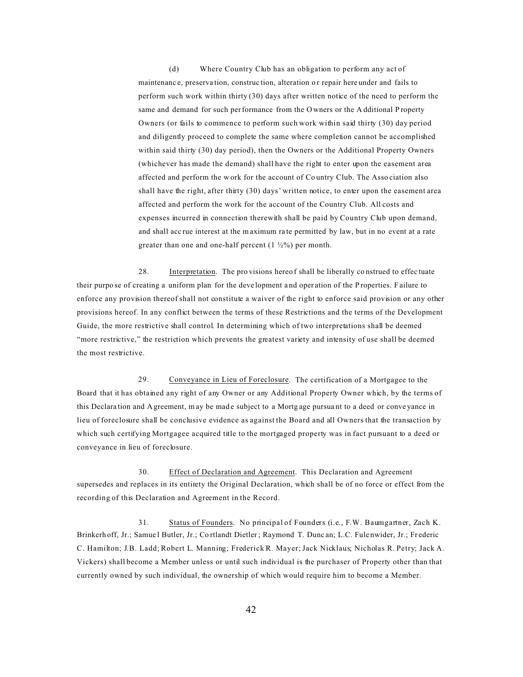(d) Where Country Club has an obligation to perform any act of maintenanc e, preserva tion, construc tion, alteration o r repair here under and fails to perform such work within thirty (30) days after written notice of the need to perform the same and demand for such performance from the O wners or the A dditional P roperty Owners (or fails to commence to perform such work within said thirty (30) day period and diligently proceed to complete the same where completion cannot be accomplished within said thirty (30) day period), then the Owners or the Additional Property Owners (whichever has made the demand) shall have the right to enter upon the easement area affected and perform the w ork for the account of Co untry Club. The Asso ciation also shall have the right, after thirty (30) days' written notice, to enter upon the easement area affected and perform the work for the account of the Country Club. All costs and expenses incurred in connection therewith shall be paid by Country Club upon demand, and shall acc rue interest at the m aximum ra te permitted by law, but in no event at a rate greater than one and one-half percent  $(1 \frac{1}{2}\%)$  per month.

28. Interpretation. The pro visions hereo f shall be liberally co nstrued to effec tuate their purpo se of creating a uniform plan for the deve lopment a nd oper ation of the P roperties. F ailure to enforce any provision thereof shall not constitute a waiver of the right to enforce said provision or any other provisions hereof. In any conflict between the terms of these Restrictions and the terms of the Development Guide, the more restrictive shall control. In determining which of two interpretations shall be deemed "more restrictive," the restriction which prevents the greatest variety and intensity of use shall be deemed the most restrictive.

29. Conveyance in Lieu of Foreclosure.The certification of a Mortgagee to the Board that it has obtained any right of any Owner or any Additional Property Owner which, by the terms of this Declaration and A greement, may be made subject to a Mortgage pursuant to a deed or conveyance in lieu of foreclosure shall be conclusive evidence as against the Board and all Owners that the transaction by which such certifying Mortgagee acquired title to the mortgaged property was in fact pursuant to a deed or conveyance in lieu of foreclosure.

30. Effect of Declaration and Agreement. This Declaration and Agreement supersedes and replaces in its entirety the Original Declaration, which shall be of no force or effect from the recording of this Declaration and Agreement in the Record.

31. Status of Founders. No principal of Founders (i.e., F.W. Baumgartner, Zach K. Brinkerh off, Jr.; Samue l Butler, Jr.; Cortlandt Dietler; Raymond T. Dunc an; L.C. Fule nwider, Jr.; Frederic C. Hamilton; J.B. Ladd; Robert L. Manning; Frederick R. Mayer; Jack Nicklaus; Nicholas R. Petry; Jack A. Vickers) shall become a Member unless or until such individual is the purchaser of Property other than that currently owned by such individual, the ownership of which would require him to become a Member.